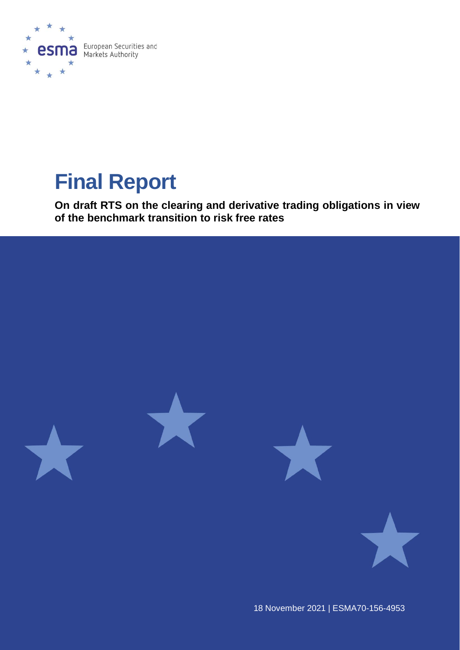

# **Final Report**

**On draft RTS on the clearing and derivative trading obligations in view of the benchmark transition to risk free rates**



18 November 2021 | ESMA70-156-4953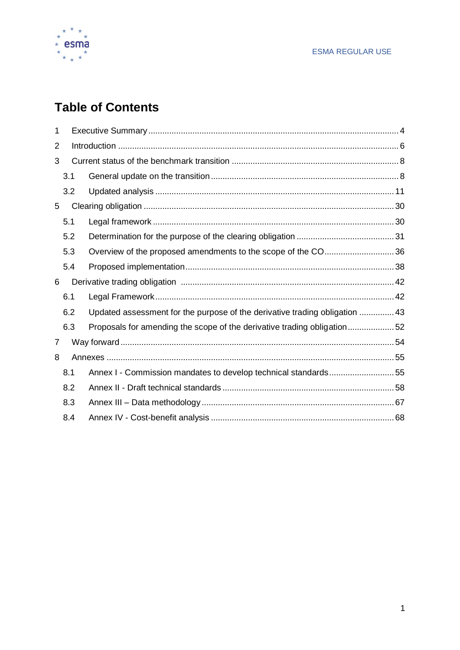

# **Table of Contents**

| 1              |     |                                                                             |  |  |  |  |  |  |  |
|----------------|-----|-----------------------------------------------------------------------------|--|--|--|--|--|--|--|
| $\overline{2}$ |     |                                                                             |  |  |  |  |  |  |  |
| 3              |     |                                                                             |  |  |  |  |  |  |  |
|                | 3.1 |                                                                             |  |  |  |  |  |  |  |
|                | 3.2 |                                                                             |  |  |  |  |  |  |  |
| 5              |     |                                                                             |  |  |  |  |  |  |  |
|                | 5.1 |                                                                             |  |  |  |  |  |  |  |
|                | 5.2 |                                                                             |  |  |  |  |  |  |  |
|                | 5.3 | Overview of the proposed amendments to the scope of the CO36                |  |  |  |  |  |  |  |
|                | 5.4 |                                                                             |  |  |  |  |  |  |  |
| 6              |     |                                                                             |  |  |  |  |  |  |  |
|                | 6.1 |                                                                             |  |  |  |  |  |  |  |
|                | 6.2 | Updated assessment for the purpose of the derivative trading obligation  43 |  |  |  |  |  |  |  |
|                | 6.3 | Proposals for amending the scope of the derivative trading obligation52     |  |  |  |  |  |  |  |
| 7              |     |                                                                             |  |  |  |  |  |  |  |
|                |     |                                                                             |  |  |  |  |  |  |  |
| 8              |     |                                                                             |  |  |  |  |  |  |  |
|                | 8.1 | Annex I - Commission mandates to develop technical standards55              |  |  |  |  |  |  |  |
|                | 8.2 |                                                                             |  |  |  |  |  |  |  |
|                | 8.3 |                                                                             |  |  |  |  |  |  |  |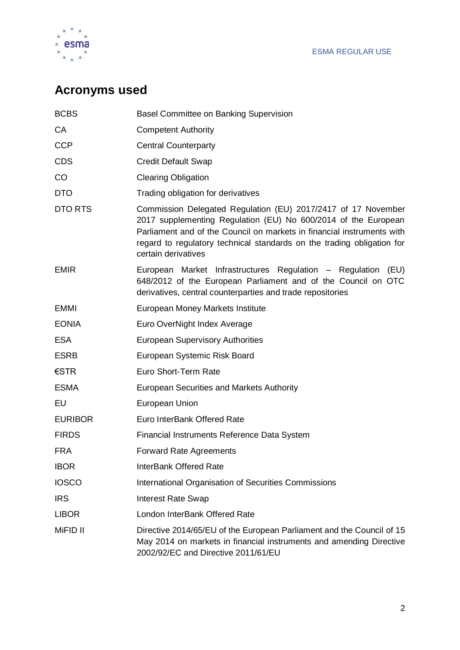

# **Acronyms used**

| <b>BCBS</b>    | <b>Basel Committee on Banking Supervision</b>                                                                                                                                                                                                                                                              |
|----------------|------------------------------------------------------------------------------------------------------------------------------------------------------------------------------------------------------------------------------------------------------------------------------------------------------------|
| СA             | <b>Competent Authority</b>                                                                                                                                                                                                                                                                                 |
| <b>CCP</b>     | <b>Central Counterparty</b>                                                                                                                                                                                                                                                                                |
| <b>CDS</b>     | <b>Credit Default Swap</b>                                                                                                                                                                                                                                                                                 |
| CO             | <b>Clearing Obligation</b>                                                                                                                                                                                                                                                                                 |
| <b>DTO</b>     | Trading obligation for derivatives                                                                                                                                                                                                                                                                         |
| DTO RTS        | Commission Delegated Regulation (EU) 2017/2417 of 17 November<br>2017 supplementing Regulation (EU) No 600/2014 of the European<br>Parliament and of the Council on markets in financial instruments with<br>regard to regulatory technical standards on the trading obligation for<br>certain derivatives |
| <b>EMIR</b>    | European Market Infrastructures Regulation - Regulation<br>(EU)<br>648/2012 of the European Parliament and of the Council on OTC<br>derivatives, central counterparties and trade repositories                                                                                                             |
| <b>EMMI</b>    | European Money Markets Institute                                                                                                                                                                                                                                                                           |
| <b>EONIA</b>   | Euro OverNight Index Average                                                                                                                                                                                                                                                                               |
| <b>ESA</b>     | <b>European Supervisory Authorities</b>                                                                                                                                                                                                                                                                    |
| <b>ESRB</b>    | European Systemic Risk Board                                                                                                                                                                                                                                                                               |
| €STR           | Euro Short-Term Rate                                                                                                                                                                                                                                                                                       |
| <b>ESMA</b>    | <b>European Securities and Markets Authority</b>                                                                                                                                                                                                                                                           |
| EU             | European Union                                                                                                                                                                                                                                                                                             |
| <b>EURIBOR</b> | Euro InterBank Offered Rate                                                                                                                                                                                                                                                                                |
| <b>FIRDS</b>   | Financial Instruments Reference Data System                                                                                                                                                                                                                                                                |
| <b>FRA</b>     | <b>Forward Rate Agreements</b>                                                                                                                                                                                                                                                                             |
| <b>IBOR</b>    | <b>InterBank Offered Rate</b>                                                                                                                                                                                                                                                                              |
| <b>IOSCO</b>   | International Organisation of Securities Commissions                                                                                                                                                                                                                                                       |
| <b>IRS</b>     | <b>Interest Rate Swap</b>                                                                                                                                                                                                                                                                                  |
| <b>LIBOR</b>   | London InterBank Offered Rate                                                                                                                                                                                                                                                                              |
| MiFID II       | Directive 2014/65/EU of the European Parliament and the Council of 15<br>May 2014 on markets in financial instruments and amending Directive<br>2002/92/EC and Directive 2011/61/EU                                                                                                                        |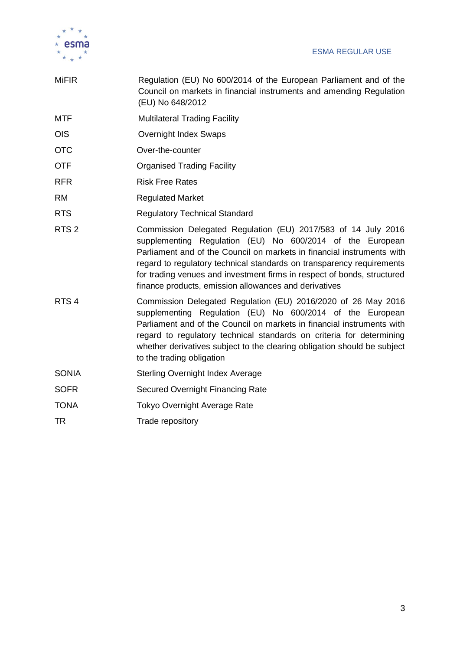

| <b>MiFIR</b>     | Regulation (EU) No 600/2014 of the European Parliament and of the<br>Council on markets in financial instruments and amending Regulation<br>(EU) No 648/2012                                                                                                                                                                                                                                                      |
|------------------|-------------------------------------------------------------------------------------------------------------------------------------------------------------------------------------------------------------------------------------------------------------------------------------------------------------------------------------------------------------------------------------------------------------------|
| MTF              | <b>Multilateral Trading Facility</b>                                                                                                                                                                                                                                                                                                                                                                              |
| <b>OIS</b>       | <b>Overnight Index Swaps</b>                                                                                                                                                                                                                                                                                                                                                                                      |
| <b>OTC</b>       | Over-the-counter                                                                                                                                                                                                                                                                                                                                                                                                  |
| <b>OTF</b>       | <b>Organised Trading Facility</b>                                                                                                                                                                                                                                                                                                                                                                                 |
| <b>RFR</b>       | <b>Risk Free Rates</b>                                                                                                                                                                                                                                                                                                                                                                                            |
| <b>RM</b>        | <b>Regulated Market</b>                                                                                                                                                                                                                                                                                                                                                                                           |
| <b>RTS</b>       | <b>Regulatory Technical Standard</b>                                                                                                                                                                                                                                                                                                                                                                              |
| RTS <sub>2</sub> | Commission Delegated Regulation (EU) 2017/583 of 14 July 2016<br>supplementing Regulation (EU) No 600/2014 of the European<br>Parliament and of the Council on markets in financial instruments with<br>regard to regulatory technical standards on transparency requirements<br>for trading venues and investment firms in respect of bonds, structured<br>finance products, emission allowances and derivatives |
| RTS <sub>4</sub> | Commission Delegated Regulation (EU) 2016/2020 of 26 May 2016<br>supplementing Regulation (EU) No 600/2014 of the European<br>Parliament and of the Council on markets in financial instruments with<br>regard to regulatory technical standards on criteria for determining<br>whether derivatives subject to the clearing obligation should be subject<br>to the trading obligation                             |
| <b>SONIA</b>     | <b>Sterling Overnight Index Average</b>                                                                                                                                                                                                                                                                                                                                                                           |
| <b>SOFR</b>      | <b>Secured Overnight Financing Rate</b>                                                                                                                                                                                                                                                                                                                                                                           |
| <b>TONA</b>      | <b>Tokyo Overnight Average Rate</b>                                                                                                                                                                                                                                                                                                                                                                               |
| TR               | Trade repository                                                                                                                                                                                                                                                                                                                                                                                                  |
|                  |                                                                                                                                                                                                                                                                                                                                                                                                                   |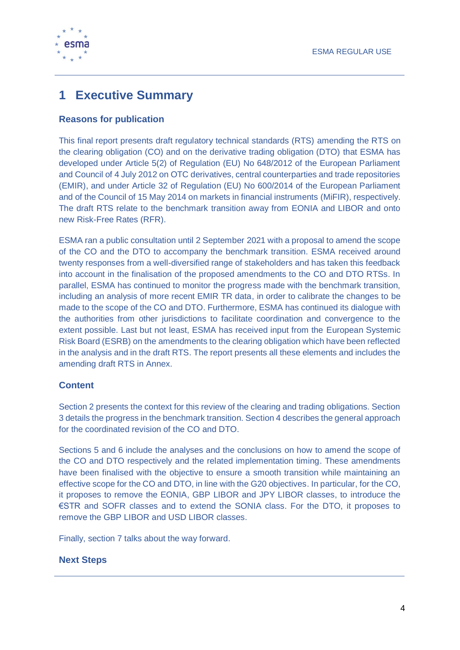

# <span id="page-4-0"></span>**1 Executive Summary**

### **Reasons for publication**

This final report presents draft regulatory technical standards (RTS) amending the RTS on the clearing obligation (CO) and on the derivative trading obligation (DTO) that ESMA has developed under Article 5(2) of Regulation (EU) No 648/2012 of the European Parliament and Council of 4 July 2012 on OTC derivatives, central counterparties and trade repositories (EMIR), and under Article 32 of Regulation (EU) No 600/2014 of the European Parliament and of the Council of 15 May 2014 on markets in financial instruments (MiFIR), respectively. The draft RTS relate to the benchmark transition away from EONIA and LIBOR and onto new Risk-Free Rates (RFR).

ESMA ran a public consultation until 2 September 2021 with a proposal to amend the scope of the CO and the DTO to accompany the benchmark transition. ESMA received around twenty responses from a well-diversified range of stakeholders and has taken this feedback into account in the finalisation of the proposed amendments to the CO and DTO RTSs. In parallel, ESMA has continued to monitor the progress made with the benchmark transition, including an analysis of more recent EMIR TR data, in order to calibrate the changes to be made to the scope of the CO and DTO. Furthermore, ESMA has continued its dialogue with the authorities from other jurisdictions to facilitate coordination and convergence to the extent possible. Last but not least, ESMA has received input from the European Systemic Risk Board (ESRB) on the amendments to the clearing obligation which have been reflected in the analysis and in the draft RTS. The report presents all these elements and includes the amending draft RTS in Annex.

### **Content**

Section 2 presents the context for this review of the clearing and trading obligations. Section 3 details the progress in the benchmark transition. Section 4 describes the general approach for the coordinated revision of the CO and DTO.

Sections 5 and 6 include the analyses and the conclusions on how to amend the scope of the CO and DTO respectively and the related implementation timing. These amendments have been finalised with the objective to ensure a smooth transition while maintaining an effective scope for the CO and DTO, in line with the G20 objectives. In particular, for the CO, it proposes to remove the EONIA, GBP LIBOR and JPY LIBOR classes, to introduce the €STR and SOFR classes and to extend the SONIA class. For the DTO, it proposes to remove the GBP LIBOR and USD LIBOR classes.

Finally, section 7 talks about the way forward.

### **Next Steps**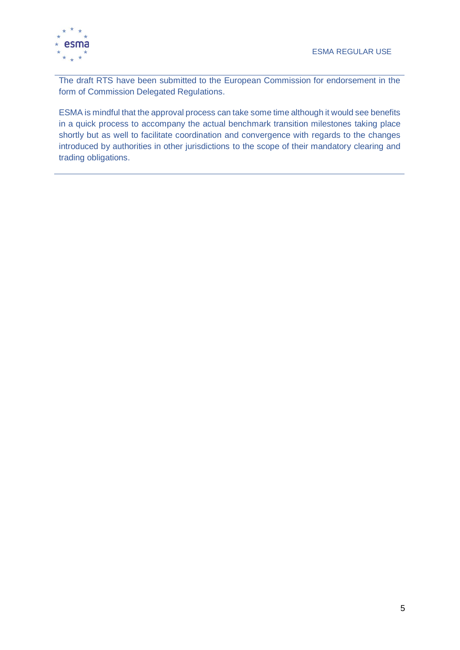

The draft RTS have been submitted to the European Commission for endorsement in the form of Commission Delegated Regulations.

ESMA is mindful that the approval process can take some time although it would see benefits in a quick process to accompany the actual benchmark transition milestones taking place shortly but as well to facilitate coordination and convergence with regards to the changes introduced by authorities in other jurisdictions to the scope of their mandatory clearing and trading obligations.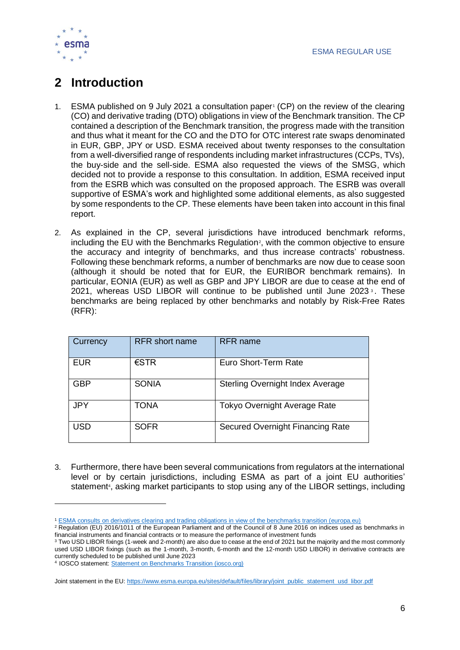

# <span id="page-6-0"></span>**2 Introduction**

- 1. ESMA published on 9 July 2021 a consultation paper (CP) on the review of the clearing (CO) and derivative trading (DTO) obligations in view of the Benchmark transition. The CP contained a description of the Benchmark transition, the progress made with the transition and thus what it meant for the CO and the DTO for OTC interest rate swaps denominated in EUR, GBP, JPY or USD. ESMA received about twenty responses to the consultation from a well-diversified range of respondents including market infrastructures (CCPs, TVs), the buy-side and the sell-side. ESMA also requested the views of the SMSG, which decided not to provide a response to this consultation. In addition, ESMA received input from the ESRB which was consulted on the proposed approach. The ESRB was overall supportive of ESMA's work and highlighted some additional elements, as also suggested by some respondents to the CP. These elements have been taken into account in this final report.
- 2. As explained in the CP, several jurisdictions have introduced benchmark reforms, including the EU with the Benchmarks Regulation<sup>2</sup>, with the common objective to ensure the accuracy and integrity of benchmarks, and thus increase contracts' robustness. Following these benchmark reforms, a number of benchmarks are now due to cease soon (although it should be noted that for EUR, the EURIBOR benchmark remains). In particular, EONIA (EUR) as well as GBP and JPY LIBOR are due to cease at the end of 2021, whereas USD LIBOR will continue to be published until June 2023<sup>3</sup>. These benchmarks are being replaced by other benchmarks and notably by Risk-Free Rates (RFR):

| Currency   | <b>RFR</b> short name | <b>RFR</b> name                         |
|------------|-----------------------|-----------------------------------------|
| <b>EUR</b> | $\epsilon$ STR        | Euro Short-Term Rate                    |
| <b>GBP</b> | <b>SONIA</b>          | <b>Sterling Overnight Index Average</b> |
| <b>JPY</b> | <b>TONA</b>           | <b>Tokyo Overnight Average Rate</b>     |
| USD        | <b>SOFR</b>           | <b>Secured Overnight Financing Rate</b> |

3. Furthermore, there have been several communications from regulators at the international level or by certain jurisdictions, including ESMA as part of a joint EU authorities' statement<sup>4</sup>, asking market participants to stop using any of the LIBOR settings, including

 $\overline{a}$ 

<sup>1</sup> [ESMA consults on derivatives clearing and trading obligations in view of the benchmarks transition \(europa.eu\)](https://www.esma.europa.eu/press-news/esma-news/esma-consults-derivatives-clearing-and-trading-obligations-in-view-benchmarks)

<sup>&</sup>lt;sup>2</sup> Regulation (EU) 2016/1011 of the European Parliament and of the Council of 8 June 2016 on indices used as benchmarks in financial instruments and financial contracts or to measure the performance of investment funds

<sup>3</sup> Two USD LIBOR fixings (1-week and 2-month) are also due to cease at the end of 2021 but the majority and the most commonly used USD LIBOR fixings (such as the 1-month, 3-month, 6-month and the 12-month USD LIBOR) in derivative contracts are currently scheduled to be published until June 2023

<sup>4</sup> IOSCO statement: [Statement on Benchmarks Transition \(iosco.org\)](https://www.iosco.org/library/pubdocs/pdf/IOSCOPD676.pdf)

Joint statement in the EU[: https://www.esma.europa.eu/sites/default/files/library/joint\\_public\\_statement\\_usd\\_libor.pdf](https://www.esma.europa.eu/sites/default/files/library/joint_public_statement_usd_libor.pdf)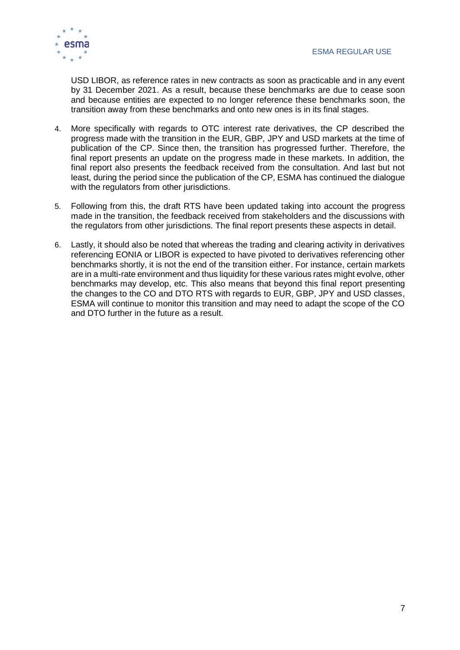

USD LIBOR, as reference rates in new contracts as soon as practicable and in any event by 31 December 2021. As a result, because these benchmarks are due to cease soon and because entities are expected to no longer reference these benchmarks soon, the transition away from these benchmarks and onto new ones is in its final stages.

- 4. More specifically with regards to OTC interest rate derivatives, the CP described the progress made with the transition in the EUR, GBP, JPY and USD markets at the time of publication of the CP. Since then, the transition has progressed further. Therefore, the final report presents an update on the progress made in these markets. In addition, the final report also presents the feedback received from the consultation. And last but not least, during the period since the publication of the CP, ESMA has continued the dialogue with the regulators from other jurisdictions.
- 5. Following from this, the draft RTS have been updated taking into account the progress made in the transition, the feedback received from stakeholders and the discussions with the regulators from other jurisdictions. The final report presents these aspects in detail.
- 6. Lastly, it should also be noted that whereas the trading and clearing activity in derivatives referencing EONIA or LIBOR is expected to have pivoted to derivatives referencing other benchmarks shortly, it is not the end of the transition either. For instance, certain markets are in a multi-rate environment and thus liquidity for these various rates might evolve, other benchmarks may develop, etc. This also means that beyond this final report presenting the changes to the CO and DTO RTS with regards to EUR, GBP, JPY and USD classes, ESMA will continue to monitor this transition and may need to adapt the scope of the CO and DTO further in the future as a result.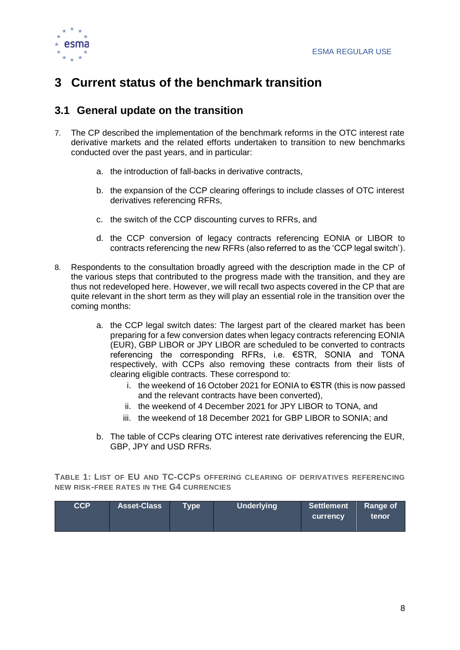

# <span id="page-8-0"></span>**3 Current status of the benchmark transition**

### <span id="page-8-1"></span>**3.1 General update on the transition**

- 7. The CP described the implementation of the benchmark reforms in the OTC interest rate derivative markets and the related efforts undertaken to transition to new benchmarks conducted over the past years, and in particular:
	- a. the introduction of fall-backs in derivative contracts,
	- b. the expansion of the CCP clearing offerings to include classes of OTC interest derivatives referencing RFRs,
	- c. the switch of the CCP discounting curves to RFRs, and
	- d. the CCP conversion of legacy contracts referencing EONIA or LIBOR to contracts referencing the new RFRs (also referred to as the 'CCP legal switch').
- 8. Respondents to the consultation broadly agreed with the description made in the CP of the various steps that contributed to the progress made with the transition, and they are thus not redeveloped here. However, we will recall two aspects covered in the CP that are quite relevant in the short term as they will play an essential role in the transition over the coming months:
	- a. the CCP legal switch dates: The largest part of the cleared market has been preparing for a few conversion dates when legacy contracts referencing EONIA (EUR), GBP LIBOR or JPY LIBOR are scheduled to be converted to contracts referencing the corresponding RFRs, i.e. €STR, SONIA and TONA respectively, with CCPs also removing these contracts from their lists of clearing eligible contracts. These correspond to:
		- i. the weekend of 16 October 2021 for EONIA to €STR (this is now passed and the relevant contracts have been converted),
		- ii. the weekend of 4 December 2021 for JPY LIBOR to TONA, and
		- iii. the weekend of 18 December 2021 for GBP LIBOR to SONIA; and
	- b. The table of CCPs clearing OTC interest rate derivatives referencing the EUR, GBP, JPY and USD RFRs.

**TABLE 1: LIST OF EU AND TC-CCPS OFFERING CLEARING OF DERIVATIVES REFERENCING NEW RISK-FREE RATES IN THE G4 CURRENCIES**

| <b>CCP</b> | <b>Asset-Class</b> | Tvpe \ | <b>Underlying</b> | Settlement<br><b>currency</b> | Range of<br>tenor |
|------------|--------------------|--------|-------------------|-------------------------------|-------------------|
|------------|--------------------|--------|-------------------|-------------------------------|-------------------|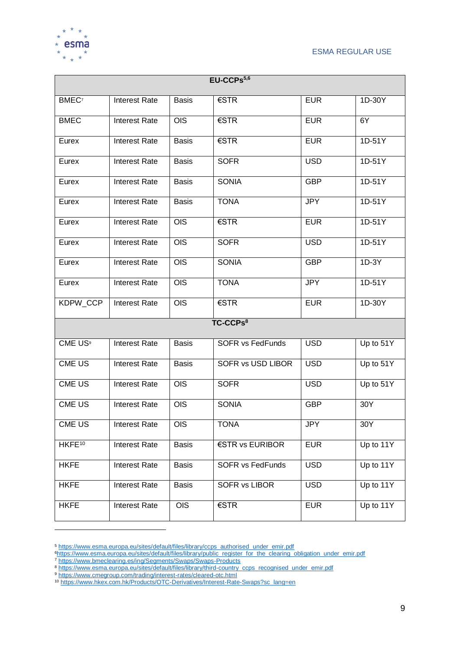



| EU-CCPs <sup>5,6</sup> |                      |              |                         |            |                        |  |  |
|------------------------|----------------------|--------------|-------------------------|------------|------------------------|--|--|
| BMEC <sup>7</sup>      | <b>Interest Rate</b> | <b>Basis</b> | €STR                    | <b>EUR</b> | 1D-30Y                 |  |  |
| <b>BMEC</b>            | <b>Interest Rate</b> | <b>OIS</b>   | €STR                    | <b>EUR</b> | 6Y                     |  |  |
| Eurex                  | <b>Interest Rate</b> | <b>Basis</b> | €STR                    | <b>EUR</b> | 1D-51Y                 |  |  |
| Eurex                  | <b>Interest Rate</b> | <b>Basis</b> | <b>SOFR</b>             | <b>USD</b> | 1D-51Y                 |  |  |
| Eurex                  | <b>Interest Rate</b> | <b>Basis</b> | <b>SONIA</b>            | <b>GBP</b> | 1D-51Y                 |  |  |
| Eurex                  | <b>Interest Rate</b> | <b>Basis</b> | <b>TONA</b>             | <b>JPY</b> | 1D-51Y                 |  |  |
| Eurex                  | <b>Interest Rate</b> | <b>OIS</b>   | €STR                    | <b>EUR</b> | 1D-51Y                 |  |  |
| Eurex                  | <b>Interest Rate</b> | <b>OIS</b>   | <b>SOFR</b>             | <b>USD</b> | 1D-51Y                 |  |  |
| Eurex                  | <b>Interest Rate</b> | <b>OIS</b>   | <b>SONIA</b>            | <b>GBP</b> | 1D-3Y                  |  |  |
| Eurex                  | <b>Interest Rate</b> | <b>OIS</b>   | <b>TONA</b>             | <b>JPY</b> | 1D-51Y                 |  |  |
| KDPW_CCP               | <b>Interest Rate</b> | <b>OIS</b>   | €STR                    | <b>EUR</b> | 1D-30Y                 |  |  |
|                        |                      |              | TC-CCPs <sup>8</sup>    |            |                        |  |  |
| CME US <sup>9</sup>    | <b>Interest Rate</b> | <b>Basis</b> | <b>SOFR vs FedFunds</b> | <b>USD</b> | Up to 51Y              |  |  |
| <b>CME US</b>          | <b>Interest Rate</b> | <b>Basis</b> | SOFR vs USD LIBOR       | <b>USD</b> | Up to 51Y              |  |  |
| <b>CME US</b>          | <b>Interest Rate</b> | <b>OIS</b>   | <b>SOFR</b>             | <b>USD</b> | Up to 51Y              |  |  |
| <b>CME US</b>          | <b>Interest Rate</b> | <b>OIS</b>   | <b>SONIA</b>            | <b>GBP</b> | 30Y                    |  |  |
| CME US                 | <b>Interest Rate</b> | <b>OIS</b>   | <b>TONA</b>             | <b>JPY</b> | 30Y                    |  |  |
| HKFE <sup>10</sup>     | Interest Rate        | <b>Basis</b> | €STR vs EURIBOR         | <b>EUR</b> | Up to 11Y              |  |  |
| <b>HKFE</b>            | Interest Rate        | <b>Basis</b> | <b>SOFR vs FedFunds</b> | <b>USD</b> | Up to 11Y              |  |  |
| <b>HKFE</b>            | Interest Rate        | <b>Basis</b> | <b>SOFR vs LIBOR</b>    | <b>USD</b> | Up to $\overline{11Y}$ |  |  |
| <b>HKFE</b>            | <b>Interest Rate</b> | <b>OIS</b>   | €STR                    | <b>EUR</b> | Up to 11Y              |  |  |

<sup>&</sup>lt;sup>5</sup> [https://www.esma.europa.eu/sites/default/files/library/ccps\\_authorised\\_under\\_emir.pdf](https://www.esma.europa.eu/sites/default/files/library/ccps_authorised_under_emir.pdf)

<sup>9</sup> <https://www.cmegroup.com/trading/interest-rates/cleared-otc.html>

<sup>6</sup>[https://www.esma.europa.eu/sites/default/files/library/public\\_register\\_for\\_the\\_clearing\\_obligation\\_under\\_emir.pdf](https://www.esma.europa.eu/sites/default/files/library/public_register_for_the_clearing_obligation_under_emir.pdf)

<sup>7</sup> <https://www.bmeclearing.es/ing/Segments/Swaps/Swaps-Products>

<sup>&</sup>lt;sup>8</sup> [https://www.esma.europa.eu/sites/default/files/library/third-country\\_ccps\\_recognised\\_under\\_emir.pdf](https://www.esma.europa.eu/sites/default/files/library/third-country_ccps_recognised_under_emir.pdf)

<sup>10</sup> [https://www.hkex.com.hk/Products/OTC-Derivatives/Interest-Rate-Swaps?sc\\_lang=en](https://www.hkex.com.hk/Products/OTC-Derivatives/Interest-Rate-Swaps?sc_lang=en)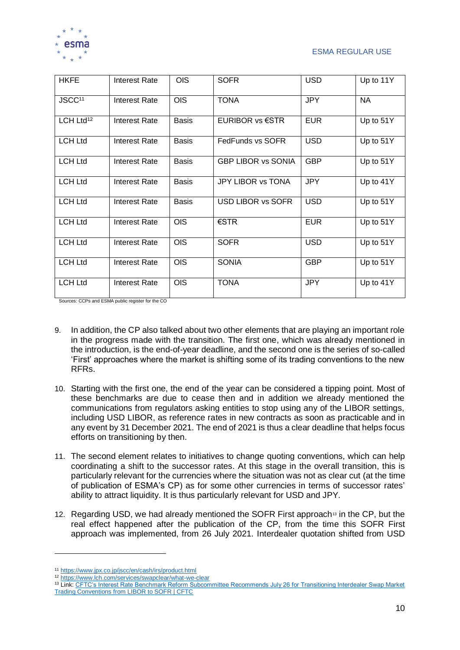

| <b>HKFE</b>           | Interest Rate        | <b>OIS</b>   | <b>SOFR</b>               | <b>USD</b> | Up to 11Y |
|-----------------------|----------------------|--------------|---------------------------|------------|-----------|
| JSCC <sup>11</sup>    | Interest Rate        | <b>OIS</b>   | <b>TONA</b>               | <b>JPY</b> | <b>NA</b> |
| LCH Ltd <sup>12</sup> | Interest Rate        | <b>Basis</b> | <b>EURIBOR vs €STR</b>    | <b>EUR</b> | Up to 51Y |
| <b>LCH Ltd</b>        | Interest Rate        | <b>Basis</b> | FedFunds vs SOFR          | <b>USD</b> | Up to 51Y |
| <b>LCH Ltd</b>        | Interest Rate        | <b>Basis</b> | <b>GBP LIBOR vs SONIA</b> | <b>GBP</b> | Up to 51Y |
| <b>LCH Ltd</b>        | Interest Rate        | <b>Basis</b> | <b>JPY LIBOR vs TONA</b>  | <b>JPY</b> | Up to 41Y |
| <b>LCH Ltd</b>        | Interest Rate        | <b>Basis</b> | USD LIBOR vs SOFR         | <b>USD</b> | Up to 51Y |
| <b>LCH Ltd</b>        | Interest Rate        | <b>OIS</b>   | $\epsilon$ STR            | <b>EUR</b> | Up to 51Y |
| <b>LCH Ltd</b>        | <b>Interest Rate</b> | <b>OIS</b>   | <b>SOFR</b>               | <b>USD</b> | Up to 51Y |
| <b>LCH Ltd</b>        | Interest Rate        | <b>OIS</b>   | <b>SONIA</b>              | <b>GBP</b> | Up to 51Y |
| <b>LCH Ltd</b>        | Interest Rate        | <b>OIS</b>   | <b>TONA</b>               | <b>JPY</b> | Up to 41Y |

Sources: CCPs and ESMA public register for the CO

- 9. In addition, the CP also talked about two other elements that are playing an important role in the progress made with the transition. The first one, which was already mentioned in the introduction, is the end-of-year deadline, and the second one is the series of so-called 'First' approaches where the market is shifting some of its trading conventions to the new RFRs.
- 10. Starting with the first one, the end of the year can be considered a tipping point. Most of these benchmarks are due to cease then and in addition we already mentioned the communications from regulators asking entities to stop using any of the LIBOR settings, including USD LIBOR, as reference rates in new contracts as soon as practicable and in any event by 31 December 2021. The end of 2021 is thus a clear deadline that helps focus efforts on transitioning by then.
- 11. The second element relates to initiatives to change quoting conventions, which can help coordinating a shift to the successor rates. At this stage in the overall transition, this is particularly relevant for the currencies where the situation was not as clear cut (at the time of publication of ESMA's CP) as for some other currencies in terms of successor rates' ability to attract liquidity. It is thus particularly relevant for USD and JPY.
- 12. Regarding USD, we had already mentioned the SOFR First approach<sup>13</sup> in the CP, but the real effect happened after the publication of the CP, from the time this SOFR First approach was implemented, from 26 July 2021. Interdealer quotation shifted from USD

 $\overline{a}$ 

<sup>11</sup> <https://www.jpx.co.jp/jscc/en/cash/irs/product.html>

<sup>12</sup> <https://www.lch.com/services/swapclear/what-we-clear>

<sup>13</sup> Link[: CFTC's Interest Rate Benchmark Reform Subcommittee Recommends July 26 for Transitioning Interdealer Swap Market](https://www.cftc.gov/PressRoom/PressReleases/8394-21)  [Trading Conventions from LIBOR to SOFR | CFTC](https://www.cftc.gov/PressRoom/PressReleases/8394-21)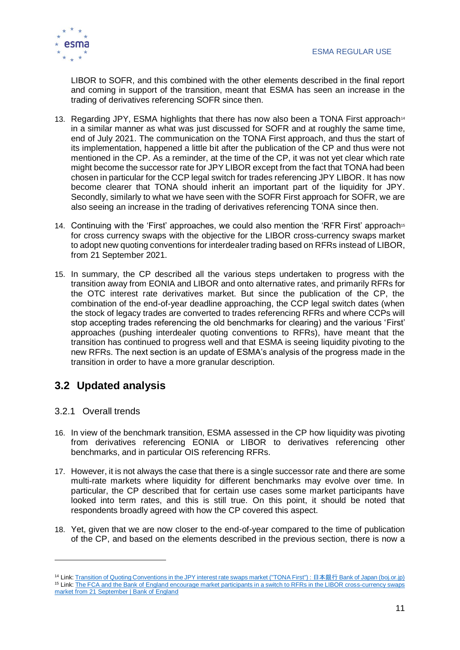

LIBOR to SOFR, and this combined with the other elements described in the final report and coming in support of the transition, meant that ESMA has seen an increase in the trading of derivatives referencing SOFR since then.

- 13. Regarding JPY, ESMA highlights that there has now also been a TONA First approach<sup>14</sup> in a similar manner as what was just discussed for SOFR and at roughly the same time, end of July 2021. The communication on the TONA First approach, and thus the start of its implementation, happened a little bit after the publication of the CP and thus were not mentioned in the CP. As a reminder, at the time of the CP, it was not yet clear which rate might become the successor rate for JPY LIBOR except from the fact that TONA had been chosen in particular for the CCP legal switch for trades referencing JPY LIBOR. It has now become clearer that TONA should inherit an important part of the liquidity for JPY. Secondly, similarly to what we have seen with the SOFR First approach for SOFR, we are also seeing an increase in the trading of derivatives referencing TONA since then.
- 14. Continuing with the 'First' approaches, we could also mention the 'RFR First' approach<sup>15</sup> for cross currency swaps with the objective for the LIBOR cross-currency swaps market to adopt new quoting conventions for interdealer trading based on RFRs instead of LIBOR, from 21 September 2021.
- 15. In summary, the CP described all the various steps undertaken to progress with the transition away from EONIA and LIBOR and onto alternative rates, and primarily RFRs for the OTC interest rate derivatives market. But since the publication of the CP, the combination of the end-of-year deadline approaching, the CCP legal switch dates (when the stock of legacy trades are converted to trades referencing RFRs and where CCPs will stop accepting trades referencing the old benchmarks for clearing) and the various 'First' approaches (pushing interdealer quoting conventions to RFRs), have meant that the transition has continued to progress well and that ESMA is seeing liquidity pivoting to the new RFRs. The next section is an update of ESMA's analysis of the progress made in the transition in order to have a more granular description.

### <span id="page-11-0"></span>**3.2 Updated analysis**

3.2.1 Overall trends

- 16. In view of the benchmark transition, ESMA assessed in the CP how liquidity was pivoting from derivatives referencing EONIA or LIBOR to derivatives referencing other benchmarks, and in particular OIS referencing RFRs.
- 17. However, it is not always the case that there is a single successor rate and there are some multi-rate markets where liquidity for different benchmarks may evolve over time. In particular, the CP described that for certain use cases some market participants have looked into term rates, and this is still true. On this point, it should be noted that respondents broadly agreed with how the CP covered this aspect.
- 18. Yet, given that we are now closer to the end-of-year compared to the time of publication of the CP, and based on the elements described in the previous section, there is now a

<sup>&</sup>lt;sup>14</sup> Link[: Transition of Quoting Conventions in the JPY interest rate swaps market \("TONA First"\) :](https://www.boj.or.jp/en/paym/market/jpy_cmte/cmt210726b.htm/) 日本銀行 Bank of Japan (boi.or.jp) <sup>15</sup> Link: The FCA and the Bank of England encourage market participants in a switch to RFRs in the LIBOR cross-currency swaps [market from 21 September | Bank of England](https://www.bankofengland.co.uk/news/2021/july/fca-boe-encourage-market-participants-in-a-switch-to-rfrs-in-the-libor-cross-currency-swaps-market)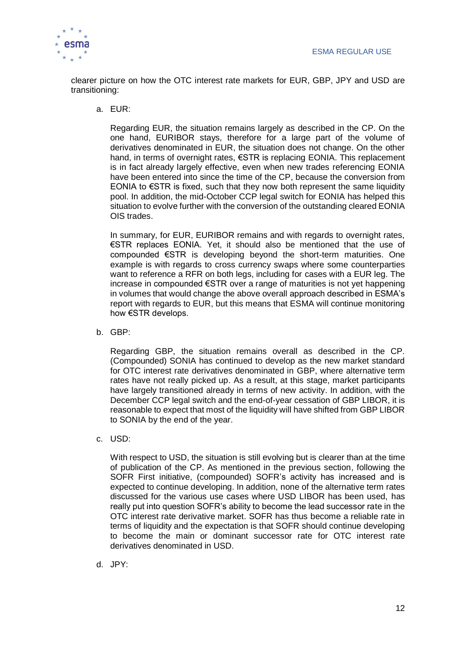

clearer picture on how the OTC interest rate markets for EUR, GBP, JPY and USD are transitioning:

a. EUR:

Regarding EUR, the situation remains largely as described in the CP. On the one hand, EURIBOR stays, therefore for a large part of the volume of derivatives denominated in EUR, the situation does not change. On the other hand, in terms of overnight rates, €STR is replacing EONIA. This replacement is in fact already largely effective, even when new trades referencing EONIA have been entered into since the time of the CP, because the conversion from EONIA to  $\epsilon$ STR is fixed, such that they now both represent the same liquidity pool. In addition, the mid-October CCP legal switch for EONIA has helped this situation to evolve further with the conversion of the outstanding cleared EONIA OIS trades.

In summary, for EUR, EURIBOR remains and with regards to overnight rates, €STR replaces EONIA. Yet, it should also be mentioned that the use of compounded €STR is developing beyond the short-term maturities. One example is with regards to cross currency swaps where some counterparties want to reference a RFR on both legs, including for cases with a EUR leg. The increase in compounded €STR over a range of maturities is not yet happening in volumes that would change the above overall approach described in ESMA's report with regards to EUR, but this means that ESMA will continue monitoring how €STR develops.

b. GBP:

Regarding GBP, the situation remains overall as described in the CP. (Compounded) SONIA has continued to develop as the new market standard for OTC interest rate derivatives denominated in GBP, where alternative term rates have not really picked up. As a result, at this stage, market participants have largely transitioned already in terms of new activity. In addition, with the December CCP legal switch and the end-of-year cessation of GBP LIBOR, it is reasonable to expect that most of the liquidity will have shifted from GBP LIBOR to SONIA by the end of the year.

c. USD:

With respect to USD, the situation is still evolving but is clearer than at the time of publication of the CP. As mentioned in the previous section, following the SOFR First initiative, (compounded) SOFR's activity has increased and is expected to continue developing. In addition, none of the alternative term rates discussed for the various use cases where USD LIBOR has been used, has really put into question SOFR's ability to become the lead successor rate in the OTC interest rate derivative market. SOFR has thus become a reliable rate in terms of liquidity and the expectation is that SOFR should continue developing to become the main or dominant successor rate for OTC interest rate derivatives denominated in USD.

d. JPY: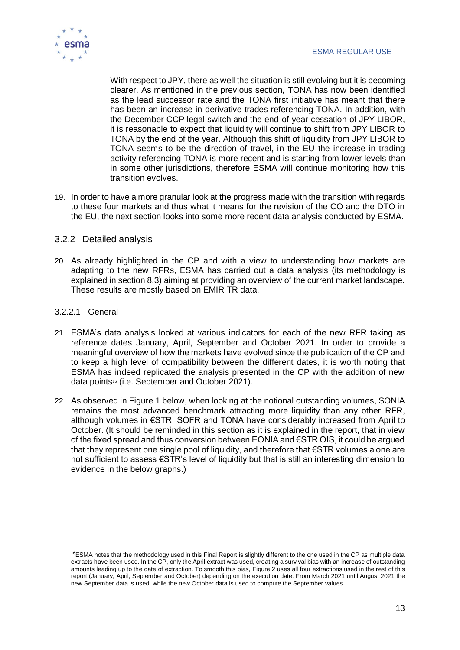

With respect to JPY, there as well the situation is still evolving but it is becoming clearer. As mentioned in the previous section, TONA has now been identified as the lead successor rate and the TONA first initiative has meant that there has been an increase in derivative trades referencing TONA. In addition, with the December CCP legal switch and the end-of-year cessation of JPY LIBOR, it is reasonable to expect that liquidity will continue to shift from JPY LIBOR to TONA by the end of the year. Although this shift of liquidity from JPY LIBOR to TONA seems to be the direction of travel, in the EU the increase in trading activity referencing TONA is more recent and is starting from lower levels than in some other jurisdictions, therefore ESMA will continue monitoring how this transition evolves.

19. In order to have a more granular look at the progress made with the transition with regards to these four markets and thus what it means for the revision of the CO and the DTO in the EU, the next section looks into some more recent data analysis conducted by ESMA.

### 3.2.2 Detailed analysis

20. As already highlighted in the CP and with a view to understanding how markets are adapting to the new RFRs, ESMA has carried out a data analysis (its methodology is explained in section 8.3) aiming at providing an overview of the current market landscape. These results are mostly based on EMIR TR data.

### 3.2.2.1 General

 $\overline{a}$ 

- 21. ESMA's data analysis looked at various indicators for each of the new RFR taking as reference dates January, April, September and October 2021. In order to provide a meaningful overview of how the markets have evolved since the publication of the CP and to keep a high level of compatibility between the different dates, it is worth noting that ESMA has indeed replicated the analysis presented in the CP with the addition of new data points<sup>16</sup> (i.e. September and October 2021).
- 22. As observed in [Figure 1](#page-14-0) below, when looking at the notional outstanding volumes, SONIA remains the most advanced benchmark attracting more liquidity than any other RFR, although volumes in €STR, SOFR and TONA have considerably increased from April to October. (It should be reminded in this section as it is explained in the report, that in view of the fixed spread and thus conversion between EONIA and €STR OIS, it could be argued that they represent one single pool of liquidity, and therefore that €STR volumes alone are not sufficient to assess €STR's level of liquidity but that is still an interesting dimension to evidence in the below graphs.)

**<sup>16</sup>**ESMA notes that the methodology used in this Final Report is slightly different to the one used in the CP as multiple data extracts have been used. In the CP, only the April extract was used, creating a survival bias with an increase of outstanding amounts leading up to the date of extraction. To smooth this bias, [Figure 2](#page-15-0) uses all four extractions used in the rest of this report (January, April, September and October) depending on the execution date. From March 2021 until August 2021 the new September data is used, while the new October data is used to compute the September values.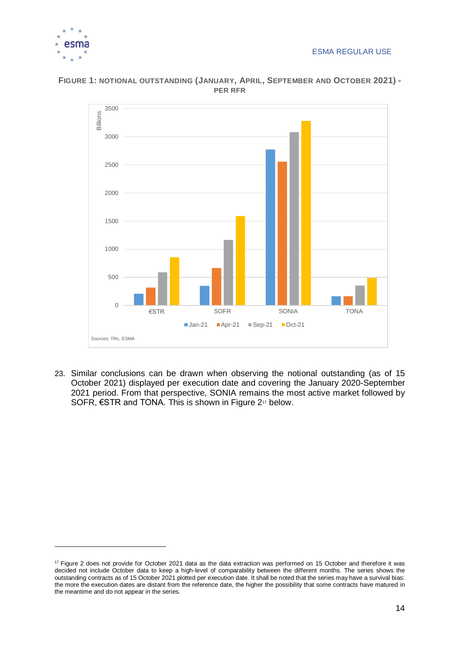

 $\overline{a}$ 



<span id="page-14-0"></span>**FIGURE 1: NOTIONAL OUTSTANDING (JANUARY, APRIL, SEPTEMBER AND OCTOBER 2021) - PER RFR**

23. Similar conclusions can be drawn when observing the notional outstanding (as of 15 October 2021) displayed per execution date and covering the January 2020-September 2021 period. From that perspective, SONIA remains the most active market followed by SOFR,  $\epsilon$ STR and TONA. This is shown in [Figure 2](#page-15-0)<sup>17</sup> below.

<sup>&</sup>lt;sup>17</sup> Figure 2 does not provide for October 2021 data as the data extraction was performed on 15 October and therefore it was decided not include October data to keep a high-level of comparability between the different months. The series shows the outstanding contracts as of 15 October 2021 plotted per execution date. It shall be noted that the series may have a survival bias: the more the execution dates are distant from the reference date, the higher the possibility that some contracts have matured in the meantime and do not appear in the series.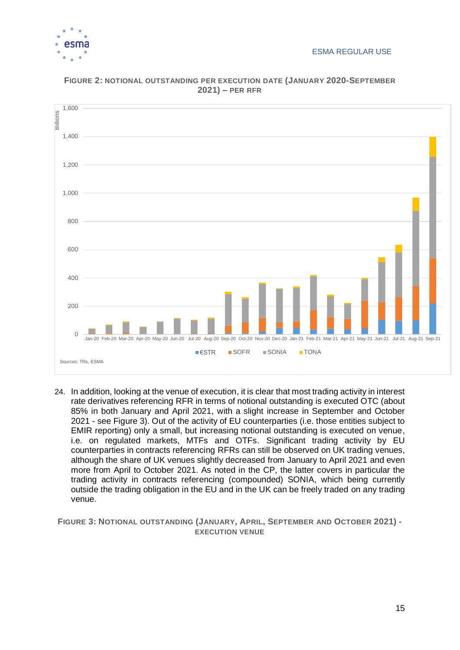



<span id="page-15-0"></span>**FIGURE 2: NOTIONAL OUTSTANDING PER EXECUTION DATE (JANUARY 2020-SEPTEMBER 2021) – PER RFR**

24. In addition, looking at the venue of execution, it is clear that most trading activity in interest rate derivatives referencing RFR in terms of notional outstanding is executed OTC (about 85% in both January and April 2021, with a slight increase in September and October 2021 - see [Figure 3\)](#page-15-1). Out of the activity of EU counterparties (i.e. those entities subject to EMIR reporting) only a small, but increasing notional outstanding is executed on venue, i.e. on regulated markets, MTFs and OTFs. Significant trading activity by EU counterparties in contracts referencing RFRs can still be observed on UK trading venues, although the share of UK venues slightly decreased from January to April 2021 and even more from April to October 2021. As noted in the CP, the latter covers in particular the trading activity in contracts referencing (compounded) SONIA, which being currently outside the trading obligation in the EU and in the UK can be freely traded on any trading venue.

<span id="page-15-1"></span>**FIGURE 3: NOTIONAL OUTSTANDING (JANUARY, APRIL, SEPTEMBER AND OCTOBER 2021) - EXECUTION VENUE**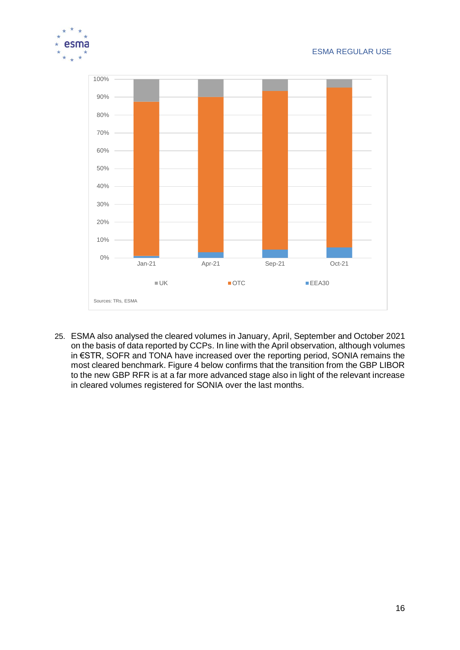



25. ESMA also analysed the cleared volumes in January, April, September and October 2021 on the basis of data reported by CCPs. In line with the April observation, although volumes in €STR, SOFR and TONA have increased over the reporting period, SONIA remains the most cleared benchmark. [Figure 4](#page-17-0) below confirms that the transition from the GBP LIBOR to the new GBP RFR is at a far more advanced stage also in light of the relevant increase in cleared volumes registered for SONIA over the last months.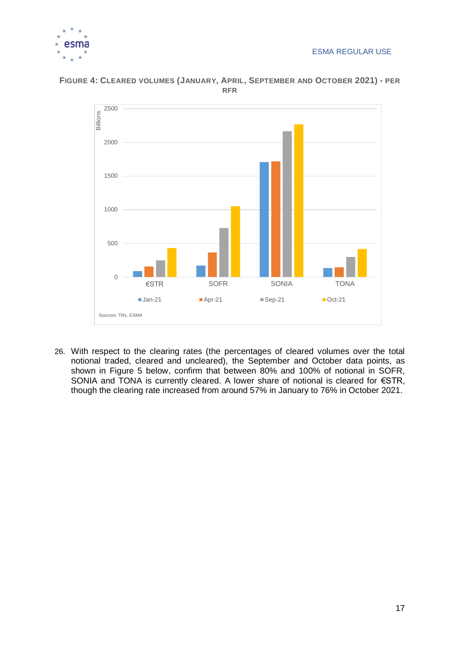



### <span id="page-17-0"></span>**FIGURE 4: CLEARED VOLUMES (JANUARY, APRIL, SEPTEMBER AND OCTOBER 2021) - PER RFR**

26. With respect to the clearing rates (the percentages of cleared volumes over the total notional traded, cleared and uncleared), the September and October data points, as shown in [Figure 5](#page-18-0) below, confirm that between 80% and 100% of notional in SOFR, SONIA and TONA is currently cleared. A lower share of notional is cleared for €STR, though the clearing rate increased from around 57% in January to 76% in October 2021.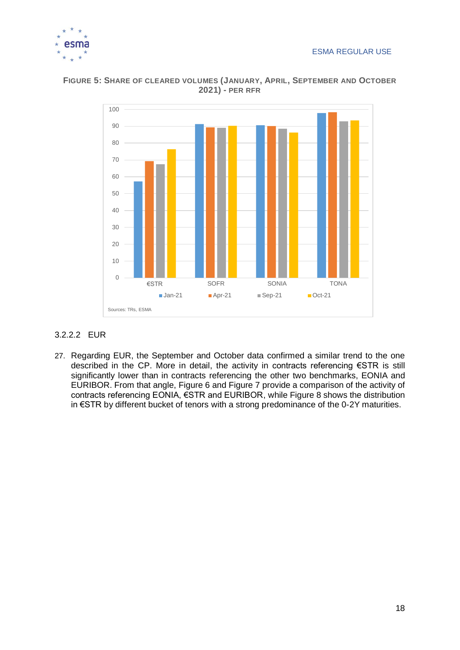



<span id="page-18-0"></span>**FIGURE 5: SHARE OF CLEARED VOLUMES (JANUARY, APRIL, SEPTEMBER AND OCTOBER 2021) - PER RFR**

### 3.2.2.2 EUR

27. Regarding EUR, the September and October data confirmed a similar trend to the one described in the CP. More in detail, the activity in contracts referencing €STR is still significantly lower than in contracts referencing the other two benchmarks, EONIA and EURIBOR. From that angle, [Figure 6](#page-19-0) and [Figure 7](#page-19-1) provide a comparison of the activity of contracts referencing EONIA, €STR and EURIBOR, while [Figure 8](#page-20-0) shows the distribution in €STR by different bucket of tenors with a strong predominance of the 0-2Y maturities.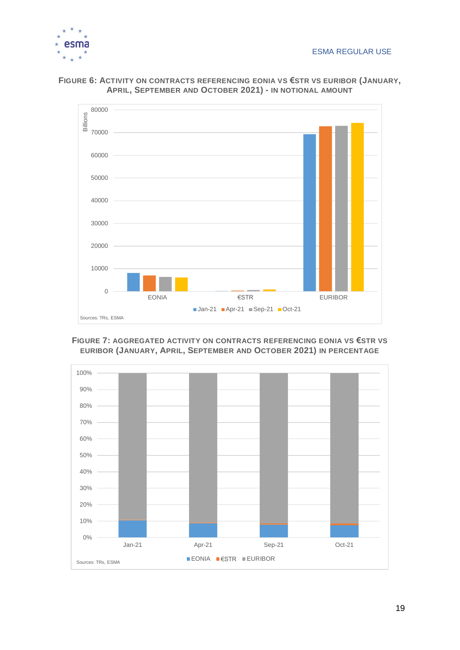



<span id="page-19-0"></span>

#### <span id="page-19-1"></span>**FIGURE 7: AGGREGATED ACTIVITY ON CONTRACTS REFERENCING EONIA VS €STR VS EURIBOR (JANUARY, APRIL, SEPTEMBER AND OCTOBER 2021) IN PERCENTAGE**

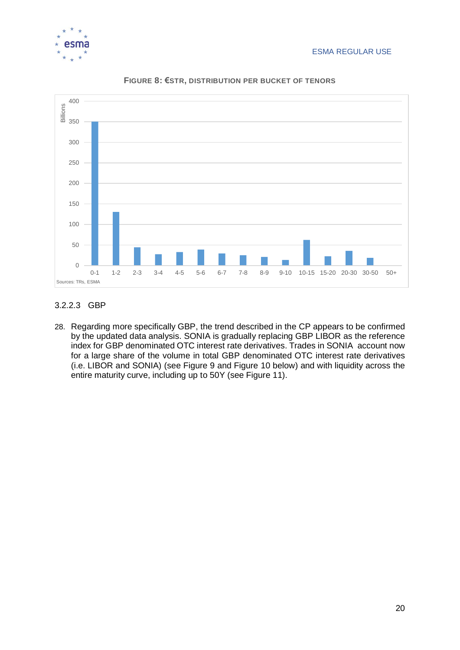

<span id="page-20-0"></span>

**FIGURE 8: €STR, DISTRIBUTION PER BUCKET OF TENORS**

### 3.2.2.3 GBP

28. Regarding more specifically GBP, the trend described in the CP appears to be confirmed by the updated data analysis. SONIA is gradually replacing GBP LIBOR as the reference index for GBP denominated OTC interest rate derivatives. Trades in SONIA account now for a large share of the volume in total GBP denominated OTC interest rate derivatives (i.e. LIBOR and SONIA) (see [Figure 9](#page-21-0) and [Figure 10](#page-21-1) below) and with liquidity across the entire maturity curve, including up to 50Y (see [Figure 11\)](#page-22-0).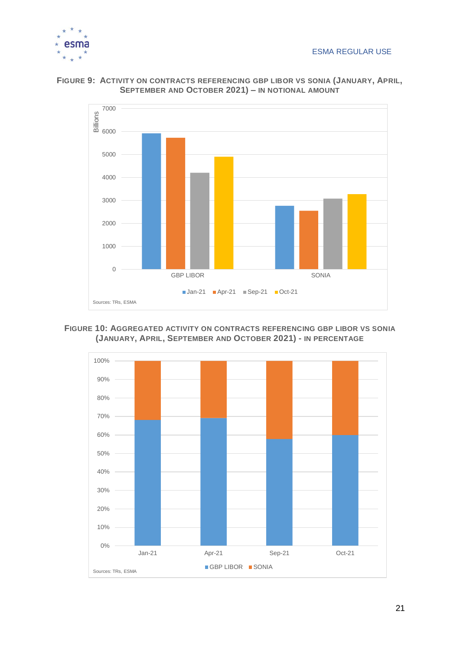



<span id="page-21-0"></span>**FIGURE 9: ACTIVITY ON CONTRACTS REFERENCING GBP LIBOR VS SONIA (JANUARY, APRIL, SEPTEMBER AND OCTOBER 2021) – IN NOTIONAL AMOUNT**

### <span id="page-21-1"></span>**FIGURE 10: AGGREGATED ACTIVITY ON CONTRACTS REFERENCING GBP LIBOR VS SONIA (JANUARY, APRIL, SEPTEMBER AND OCTOBER 2021) - IN PERCENTAGE**

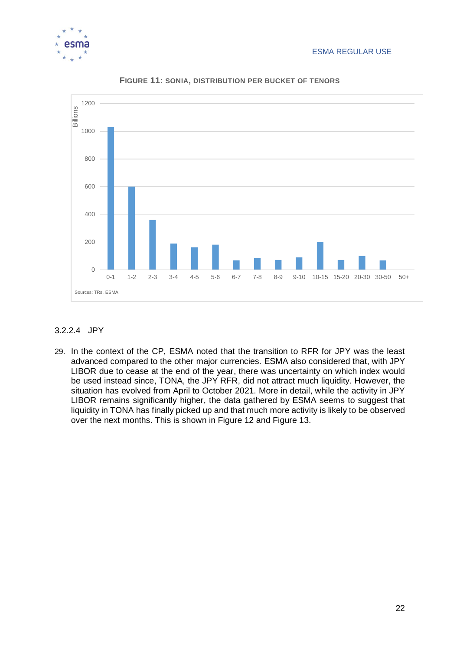

<span id="page-22-0"></span>

**FIGURE 11: SONIA, DISTRIBUTION PER BUCKET OF TENORS**

### 3.2.2.4 JPY

29. In the context of the CP, ESMA noted that the transition to RFR for JPY was the least advanced compared to the other major currencies. ESMA also considered that, with JPY LIBOR due to cease at the end of the year, there was uncertainty on which index would be used instead since, TONA, the JPY RFR, did not attract much liquidity. However, the situation has evolved from April to October 2021. More in detail, while the activity in JPY LIBOR remains significantly higher, the data gathered by ESMA seems to suggest that liquidity in TONA has finally picked up and that much more activity is likely to be observed over the next months. This is shown in [Figure 12](#page-23-0) and [Figure 13.](#page-23-1)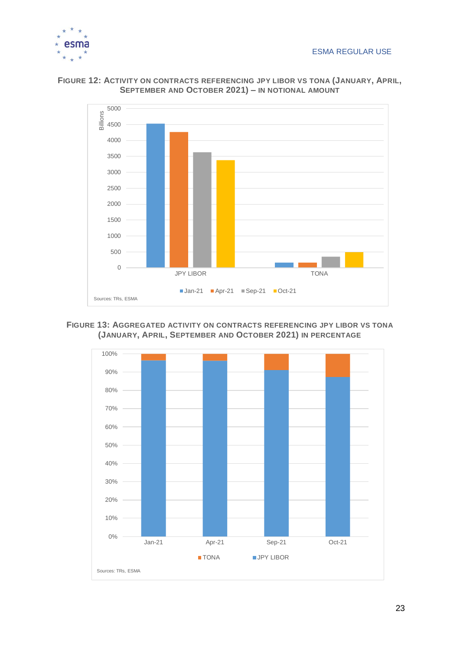



<span id="page-23-0"></span>**FIGURE 12: ACTIVITY ON CONTRACTS REFERENCING JPY LIBOR VS TONA (JANUARY, APRIL, SEPTEMBER AND OCTOBER 2021) – IN NOTIONAL AMOUNT**

<span id="page-23-1"></span>**FIGURE 13: AGGREGATED ACTIVITY ON CONTRACTS REFERENCING JPY LIBOR VS TONA (JANUARY, APRIL, SEPTEMBER AND OCTOBER 2021) IN PERCENTAGE**

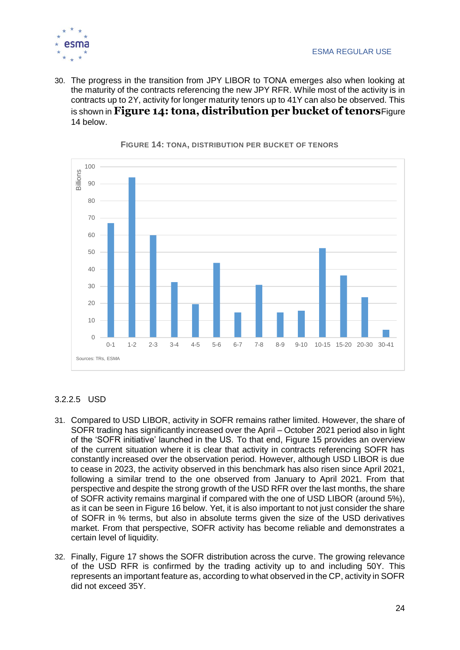

30. The progress in the transition from JPY LIBOR to TONA emerges also when looking at the maturity of the contracts referencing the new JPY RFR. While most of the activity is in contracts up to 2Y, activity for longer maturity tenors up to 41Y can also be observed. This is shown in **Figure 14: [tona, distribution per bucket of tenors](#page-24-0)**[Figure](#page-24-0)  [14](#page-24-0) below.

<span id="page-24-0"></span>

**FIGURE 14: TONA, DISTRIBUTION PER BUCKET OF TENORS**

### <span id="page-24-1"></span>3.2.2.5 USD

- 31. Compared to USD LIBOR, activity in SOFR remains rather limited. However, the share of SOFR trading has significantly increased over the April – October 2021 period also in light of the 'SOFR initiative' launched in the US. To that end, [Figure 15](#page-25-0) provides an overview of the current situation where it is clear that activity in contracts referencing SOFR has constantly increased over the observation period. However, although USD LIBOR is due to cease in 2023, the activity observed in this benchmark has also risen since April 2021, following a similar trend to the one observed from January to April 2021. From that perspective and despite the strong growth of the USD RFR over the last months, the share of SOFR activity remains marginal if compared with the one of USD LIBOR (around 5%), as it can be seen in Figure 16 below. Yet, it is also important to not just consider the share of SOFR in % terms, but also in absolute terms given the size of the USD derivatives market. From that perspective, SOFR activity has become reliable and demonstrates a certain level of liquidity.
- 32. Finally, [Figure 17](#page-26-0) shows the SOFR distribution across the curve. The growing relevance of the USD RFR is confirmed by the trading activity up to and including 50Y. This represents an important feature as, according to what observed in the CP, activity in SOFR did not exceed 35Y.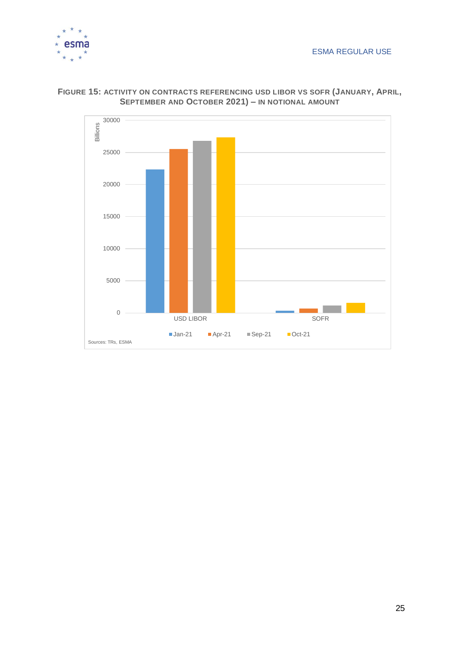



### <span id="page-25-0"></span>**FIGURE 15: ACTIVITY ON CONTRACTS REFERENCING USD LIBOR VS SOFR (JANUARY, APRIL, SEPTEMBER AND OCTOBER 2021) – IN NOTIONAL AMOUNT**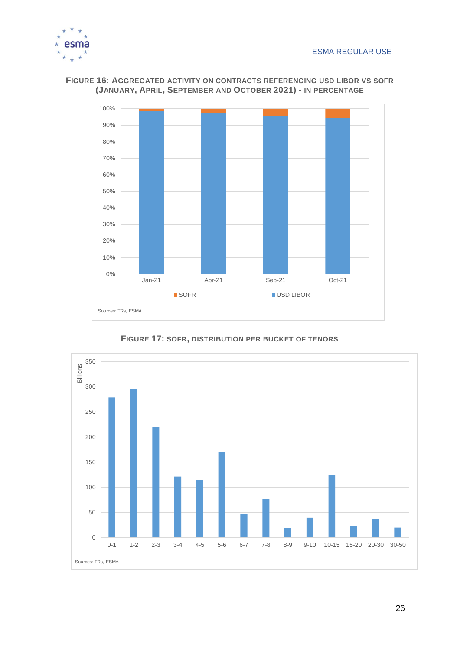



**FIGURE 16: AGGREGATED ACTIVITY ON CONTRACTS REFERENCING USD LIBOR VS SOFR (JANUARY, APRIL, SEPTEMBER AND OCTOBER 2021) - IN PERCENTAGE**

**FIGURE 17: SOFR, DISTRIBUTION PER BUCKET OF TENORS**

<span id="page-26-0"></span>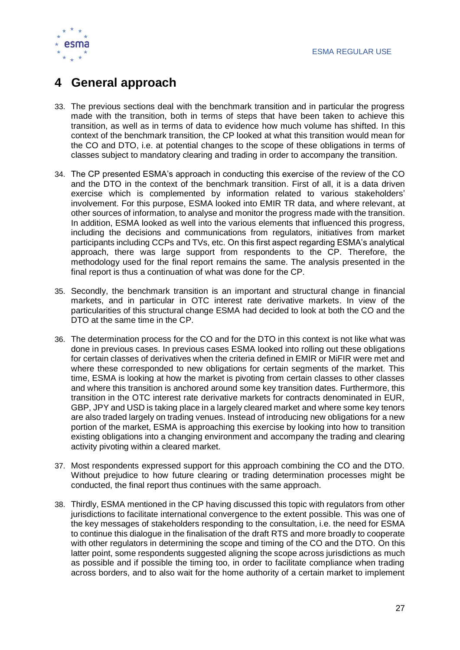

# **4 General approach**

- 33. The previous sections deal with the benchmark transition and in particular the progress made with the transition, both in terms of steps that have been taken to achieve this transition, as well as in terms of data to evidence how much volume has shifted. In this context of the benchmark transition, the CP looked at what this transition would mean for the CO and DTO, i.e. at potential changes to the scope of these obligations in terms of classes subject to mandatory clearing and trading in order to accompany the transition.
- 34. The CP presented ESMA's approach in conducting this exercise of the review of the CO and the DTO in the context of the benchmark transition. First of all, it is a data driven exercise which is complemented by information related to various stakeholders' involvement. For this purpose, ESMA looked into EMIR TR data, and where relevant, at other sources of information, to analyse and monitor the progress made with the transition. In addition, ESMA looked as well into the various elements that influenced this progress, including the decisions and communications from regulators, initiatives from market participants including CCPs and TVs, etc. On this first aspect regarding ESMA's analytical approach, there was large support from respondents to the CP. Therefore, the methodology used for the final report remains the same. The analysis presented in the final report is thus a continuation of what was done for the CP.
- 35. Secondly, the benchmark transition is an important and structural change in financial markets, and in particular in OTC interest rate derivative markets. In view of the particularities of this structural change ESMA had decided to look at both the CO and the DTO at the same time in the CP.
- 36. The determination process for the CO and for the DTO in this context is not like what was done in previous cases. In previous cases ESMA looked into rolling out these obligations for certain classes of derivatives when the criteria defined in EMIR or MiFIR were met and where these corresponded to new obligations for certain segments of the market. This time, ESMA is looking at how the market is pivoting from certain classes to other classes and where this transition is anchored around some key transition dates. Furthermore, this transition in the OTC interest rate derivative markets for contracts denominated in EUR, GBP, JPY and USD is taking place in a largely cleared market and where some key tenors are also traded largely on trading venues. Instead of introducing new obligations for a new portion of the market, ESMA is approaching this exercise by looking into how to transition existing obligations into a changing environment and accompany the trading and clearing activity pivoting within a cleared market.
- 37. Most respondents expressed support for this approach combining the CO and the DTO. Without prejudice to how future clearing or trading determination processes might be conducted, the final report thus continues with the same approach.
- 38. Thirdly, ESMA mentioned in the CP having discussed this topic with regulators from other jurisdictions to facilitate international convergence to the extent possible. This was one of the key messages of stakeholders responding to the consultation, i.e. the need for ESMA to continue this dialogue in the finalisation of the draft RTS and more broadly to cooperate with other regulators in determining the scope and timing of the CO and the DTO. On this latter point, some respondents suggested aligning the scope across jurisdictions as much as possible and if possible the timing too, in order to facilitate compliance when trading across borders, and to also wait for the home authority of a certain market to implement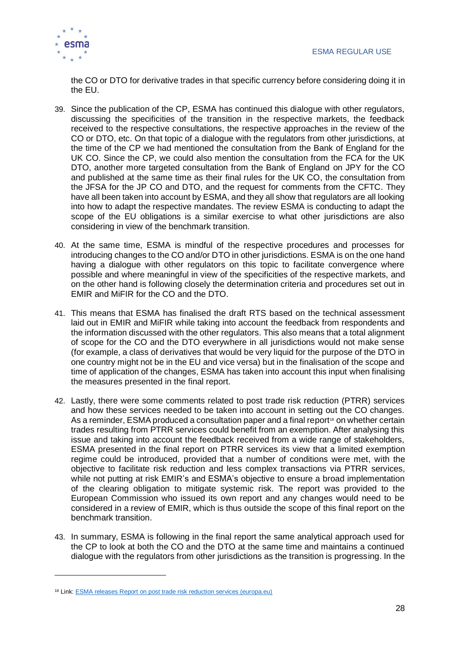

the CO or DTO for derivative trades in that specific currency before considering doing it in the EU.

- 39. Since the publication of the CP, ESMA has continued this dialogue with other regulators, discussing the specificities of the transition in the respective markets, the feedback received to the respective consultations, the respective approaches in the review of the CO or DTO, etc. On that topic of a dialogue with the regulators from other jurisdictions, at the time of the CP we had mentioned the consultation from the Bank of England for the UK CO. Since the CP, we could also mention the consultation from the FCA for the UK DTO, another more targeted consultation from the Bank of England on JPY for the CO and published at the same time as their final rules for the UK CO, the consultation from the JFSA for the JP CO and DTO, and the request for comments from the CFTC. They have all been taken into account by ESMA, and they all show that regulators are all looking into how to adapt the respective mandates. The review ESMA is conducting to adapt the scope of the EU obligations is a similar exercise to what other jurisdictions are also considering in view of the benchmark transition.
- 40. At the same time, ESMA is mindful of the respective procedures and processes for introducing changes to the CO and/or DTO in other jurisdictions. ESMA is on the one hand having a dialogue with other regulators on this topic to facilitate convergence where possible and where meaningful in view of the specificities of the respective markets, and on the other hand is following closely the determination criteria and procedures set out in EMIR and MiFIR for the CO and the DTO.
- 41. This means that ESMA has finalised the draft RTS based on the technical assessment laid out in EMIR and MiFIR while taking into account the feedback from respondents and the information discussed with the other regulators. This also means that a total alignment of scope for the CO and the DTO everywhere in all jurisdictions would not make sense (for example, a class of derivatives that would be very liquid for the purpose of the DTO in one country might not be in the EU and vice versa) but in the finalisation of the scope and time of application of the changes, ESMA has taken into account this input when finalising the measures presented in the final report.
- 42. Lastly, there were some comments related to post trade risk reduction (PTRR) services and how these services needed to be taken into account in setting out the CO changes. As a reminder, ESMA produced a consultation paper and a final report<sup> $\mathfrak s$ </sup> on whether certain trades resulting from PTRR services could benefit from an exemption. After analysing this issue and taking into account the feedback received from a wide range of stakeholders, ESMA presented in the final report on PTRR services its view that a limited exemption regime could be introduced, provided that a number of conditions were met, with the objective to facilitate risk reduction and less complex transactions via PTRR services, while not putting at risk EMIR's and ESMA's objective to ensure a broad implementation of the clearing obligation to mitigate systemic risk. The report was provided to the European Commission who issued its own report and any changes would need to be considered in a review of EMIR, which is thus outside the scope of this final report on the benchmark transition.
- 43. In summary, ESMA is following in the final report the same analytical approach used for the CP to look at both the CO and the DTO at the same time and maintains a continued dialogue with the regulators from other jurisdictions as the transition is progressing. In the

<sup>18</sup> Link: [ESMA releases Report on post trade risk reduction services \(europa.eu\)](https://www.esma.europa.eu/press-news/esma-news/esma-releases-report-post-trade-risk-reduction-services)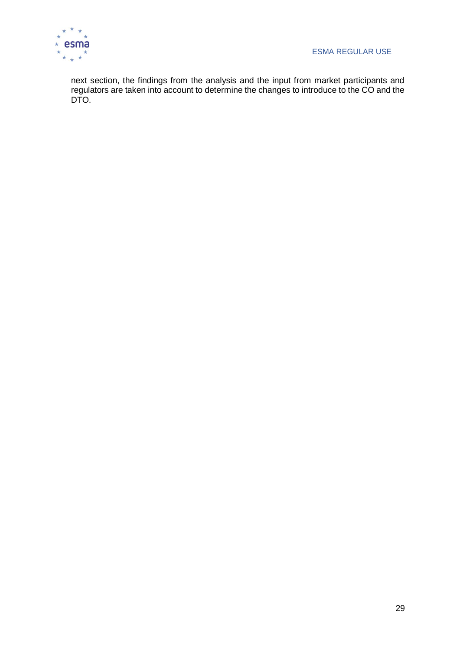

next section, the findings from the analysis and the input from market participants and regulators are taken into account to determine the changes to introduce to the CO and the DTO.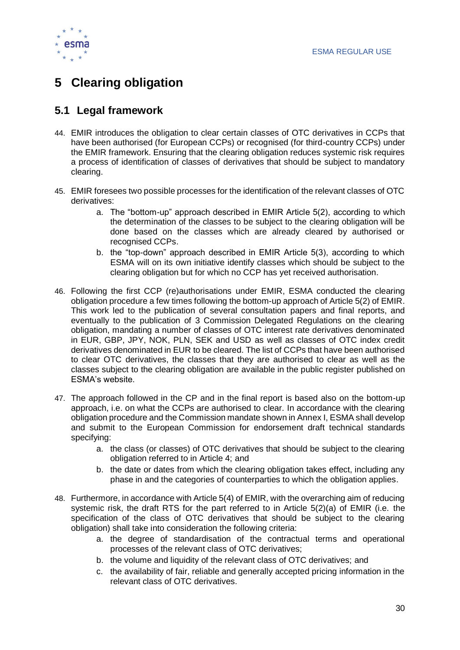

# <span id="page-30-0"></span>**5 Clearing obligation**

### <span id="page-30-1"></span>**5.1 Legal framework**

- 44. EMIR introduces the obligation to clear certain classes of OTC derivatives in CCPs that have been authorised (for European CCPs) or recognised (for third-country CCPs) under the EMIR framework. Ensuring that the clearing obligation reduces systemic risk requires a process of identification of classes of derivatives that should be subject to mandatory clearing.
- 45. EMIR foresees two possible processes for the identification of the relevant classes of OTC derivatives:
	- a. The "bottom-up" approach described in EMIR Article 5(2), according to which the determination of the classes to be subject to the clearing obligation will be done based on the classes which are already cleared by authorised or recognised CCPs.
	- b. the "top-down" approach described in EMIR Article 5(3), according to which ESMA will on its own initiative identify classes which should be subject to the clearing obligation but for which no CCP has yet received authorisation.
- 46. Following the first CCP (re)authorisations under EMIR, ESMA conducted the clearing obligation procedure a few times following the bottom-up approach of Article 5(2) of EMIR. This work led to the publication of several consultation papers and final reports, and eventually to the publication of 3 Commission Delegated Regulations on the clearing obligation, mandating a number of classes of OTC interest rate derivatives denominated in EUR, GBP, JPY, NOK, PLN, SEK and USD as well as classes of OTC index credit derivatives denominated in EUR to be cleared. The list of CCPs that have been authorised to clear OTC derivatives, the classes that they are authorised to clear as well as the classes subject to the clearing obligation are available in the public register published on ESMA's website.
- 47. The approach followed in the CP and in the final report is based also on the bottom-up approach, i.e. on what the CCPs are authorised to clear. In accordance with the clearing obligation procedure and the Commission mandate shown in Annex I, ESMA shall develop and submit to the European Commission for endorsement draft technical standards specifying:
	- a. the class (or classes) of OTC derivatives that should be subject to the clearing obligation referred to in Article 4; and
	- b. the date or dates from which the clearing obligation takes effect, including any phase in and the categories of counterparties to which the obligation applies.
- 48. Furthermore, in accordance with Article 5(4) of EMIR, with the overarching aim of reducing systemic risk, the draft RTS for the part referred to in Article 5(2)(a) of EMIR (i.e. the specification of the class of OTC derivatives that should be subject to the clearing obligation) shall take into consideration the following criteria:
	- a. the degree of standardisation of the contractual terms and operational processes of the relevant class of OTC derivatives;
	- b. the volume and liquidity of the relevant class of OTC derivatives; and
	- c. the availability of fair, reliable and generally accepted pricing information in the relevant class of OTC derivatives.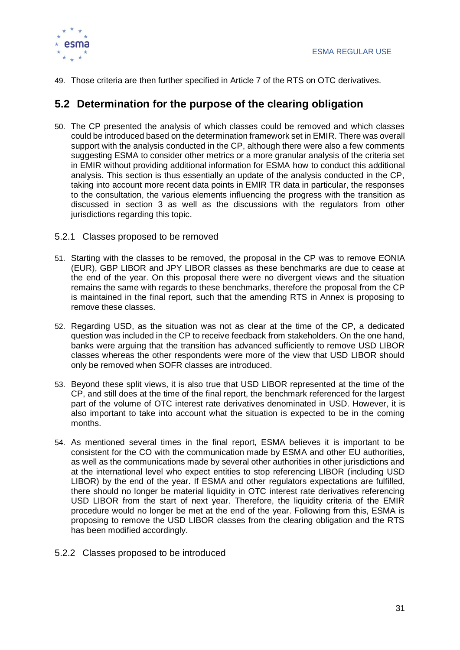

49. Those criteria are then further specified in Article 7 of the RTS on OTC derivatives.

### <span id="page-31-0"></span>**5.2 Determination for the purpose of the clearing obligation**

- 50. The CP presented the analysis of which classes could be removed and which classes could be introduced based on the determination framework set in EMIR. There was overall support with the analysis conducted in the CP, although there were also a few comments suggesting ESMA to consider other metrics or a more granular analysis of the criteria set in EMIR without providing additional information for ESMA how to conduct this additional analysis. This section is thus essentially an update of the analysis conducted in the CP, taking into account more recent data points in EMIR TR data in particular, the responses to the consultation, the various elements influencing the progress with the transition as discussed in section 3 as well as the discussions with the regulators from other jurisdictions regarding this topic.
- 5.2.1 Classes proposed to be removed
- 51. Starting with the classes to be removed, the proposal in the CP was to remove EONIA (EUR), GBP LIBOR and JPY LIBOR classes as these benchmarks are due to cease at the end of the year. On this proposal there were no divergent views and the situation remains the same with regards to these benchmarks, therefore the proposal from the CP is maintained in the final report, such that the amending RTS in Annex is proposing to remove these classes.
- 52. Regarding USD, as the situation was not as clear at the time of the CP, a dedicated question was included in the CP to receive feedback from stakeholders. On the one hand, banks were arguing that the transition has advanced sufficiently to remove USD LIBOR classes whereas the other respondents were more of the view that USD LIBOR should only be removed when SOFR classes are introduced.
- 53. Beyond these split views, it is also true that USD LIBOR represented at the time of the CP, and still does at the time of the final report, the benchmark referenced for the largest part of the volume of OTC interest rate derivatives denominated in USD. However, it is also important to take into account what the situation is expected to be in the coming months.
- 54. As mentioned several times in the final report, ESMA believes it is important to be consistent for the CO with the communication made by ESMA and other EU authorities, as well as the communications made by several other authorities in other jurisdictions and at the international level who expect entities to stop referencing LIBOR (including USD LIBOR) by the end of the year. If ESMA and other regulators expectations are fulfilled, there should no longer be material liquidity in OTC interest rate derivatives referencing USD LIBOR from the start of next year. Therefore, the liquidity criteria of the EMIR procedure would no longer be met at the end of the year. Following from this, ESMA is proposing to remove the USD LIBOR classes from the clearing obligation and the RTS has been modified accordingly.
- 5.2.2 Classes proposed to be introduced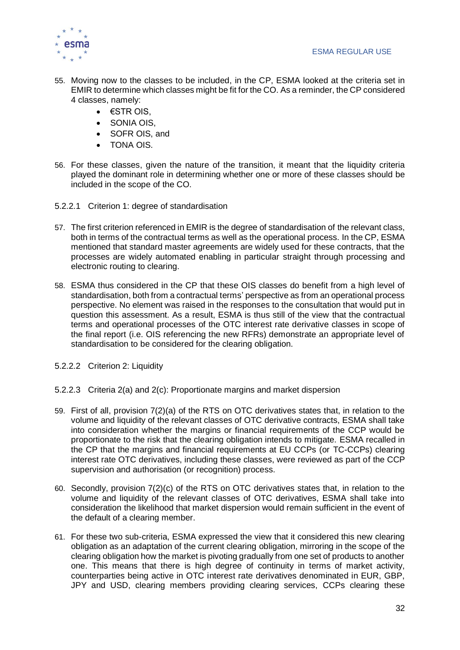

- 55. Moving now to the classes to be included, in the CP, ESMA looked at the criteria set in EMIR to determine which classes might be fit for the CO. As a reminder, the CP considered 4 classes, namely:
	- €STR OIS,
	- SONIA OIS,
	- SOFR OIS, and
	- TONA OIS.
- 56. For these classes, given the nature of the transition, it meant that the liquidity criteria played the dominant role in determining whether one or more of these classes should be included in the scope of the CO.
- 5.2.2.1 Criterion 1: degree of standardisation
- 57. The first criterion referenced in EMIR is the degree of standardisation of the relevant class, both in terms of the contractual terms as well as the operational process. In the CP, ESMA mentioned that standard master agreements are widely used for these contracts, that the processes are widely automated enabling in particular straight through processing and electronic routing to clearing.
- 58. ESMA thus considered in the CP that these OIS classes do benefit from a high level of standardisation, both from a contractual terms' perspective as from an operational process perspective. No element was raised in the responses to the consultation that would put in question this assessment. As a result, ESMA is thus still of the view that the contractual terms and operational processes of the OTC interest rate derivative classes in scope of the final report (i.e. OIS referencing the new RFRs) demonstrate an appropriate level of standardisation to be considered for the clearing obligation.
- 5.2.2.2 Criterion 2: Liquidity
- 5.2.2.3 Criteria 2(a) and 2(c): Proportionate margins and market dispersion
- 59. First of all, provision 7(2)(a) of the RTS on OTC derivatives states that, in relation to the volume and liquidity of the relevant classes of OTC derivative contracts, ESMA shall take into consideration whether the margins or financial requirements of the CCP would be proportionate to the risk that the clearing obligation intends to mitigate. ESMA recalled in the CP that the margins and financial requirements at EU CCPs (or TC-CCPs) clearing interest rate OTC derivatives, including these classes, were reviewed as part of the CCP supervision and authorisation (or recognition) process.
- 60. Secondly, provision 7(2)(c) of the RTS on OTC derivatives states that, in relation to the volume and liquidity of the relevant classes of OTC derivatives, ESMA shall take into consideration the likelihood that market dispersion would remain sufficient in the event of the default of a clearing member.
- 61. For these two sub-criteria, ESMA expressed the view that it considered this new clearing obligation as an adaptation of the current clearing obligation, mirroring in the scope of the clearing obligation how the market is pivoting gradually from one set of products to another one. This means that there is high degree of continuity in terms of market activity, counterparties being active in OTC interest rate derivatives denominated in EUR, GBP, JPY and USD, clearing members providing clearing services, CCPs clearing these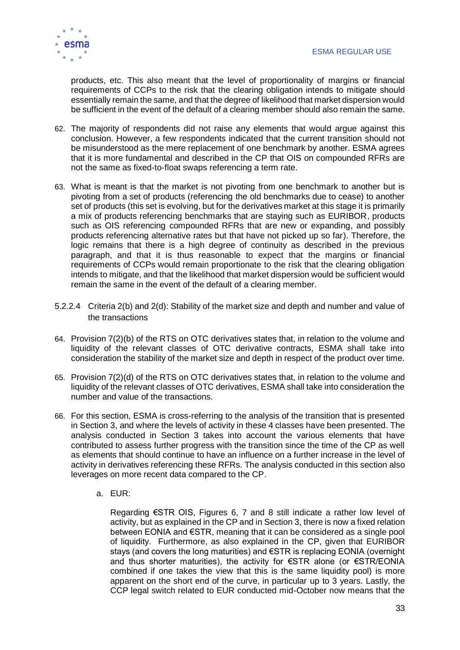

products, etc. This also meant that the level of proportionality of margins or financial requirements of CCPs to the risk that the clearing obligation intends to mitigate should essentially remain the same, and that the degree of likelihood that market dispersion would be sufficient in the event of the default of a clearing member should also remain the same.

- 62. The majority of respondents did not raise any elements that would argue against this conclusion. However, a few respondents indicated that the current transition should not be misunderstood as the mere replacement of one benchmark by another. ESMA agrees that it is more fundamental and described in the CP that OIS on compounded RFRs are not the same as fixed-to-float swaps referencing a term rate.
- 63. What is meant is that the market is not pivoting from one benchmark to another but is pivoting from a set of products (referencing the old benchmarks due to cease) to another set of products (this set is evolving, but for the derivatives market at this stage it is primarily a mix of products referencing benchmarks that are staying such as EURIBOR, products such as OIS referencing compounded RFRs that are new or expanding, and possibly products referencing alternative rates but that have not picked up so far). Therefore, the logic remains that there is a high degree of continuity as described in the previous paragraph, and that it is thus reasonable to expect that the margins or financial requirements of CCPs would remain proportionate to the risk that the clearing obligation intends to mitigate, and that the likelihood that market dispersion would be sufficient would remain the same in the event of the default of a clearing member.
- 5.2.2.4 Criteria 2(b) and 2(d): Stability of the market size and depth and number and value of the transactions
- 64. Provision 7(2)(b) of the RTS on OTC derivatives states that, in relation to the volume and liquidity of the relevant classes of OTC derivative contracts, ESMA shall take into consideration the stability of the market size and depth in respect of the product over time.
- 65. Provision 7(2)(d) of the RTS on OTC derivatives states that, in relation to the volume and liquidity of the relevant classes of OTC derivatives, ESMA shall take into consideration the number and value of the transactions.
- 66. For this section, ESMA is cross-referring to the analysis of the transition that is presented in Section 3, and where the levels of activity in these 4 classes have been presented. The analysis conducted in Section 3 takes into account the various elements that have contributed to assess further progress with the transition since the time of the CP as well as elements that should continue to have an influence on a further increase in the level of activity in derivatives referencing these RFRs. The analysis conducted in this section also leverages on more recent data compared to the CP.
	- a. EUR:

Regarding €STR OIS, Figures 6, 7 and 8 still indicate a rather low level of activity, but as explained in the CP and in Section 3, there is now a fixed relation between EONIA and €STR, meaning that it can be considered as a single pool of liquidity. Furthermore, as also explained in the CP, given that EURIBOR stays (and covers the long maturities) and €STR is replacing EONIA (overnight and thus shorter maturities), the activity for €STR alone (or €STR/EONIA combined if one takes the view that this is the same liquidity pool) is more apparent on the short end of the curve, in particular up to 3 years. Lastly, the CCP legal switch related to EUR conducted mid-October now means that the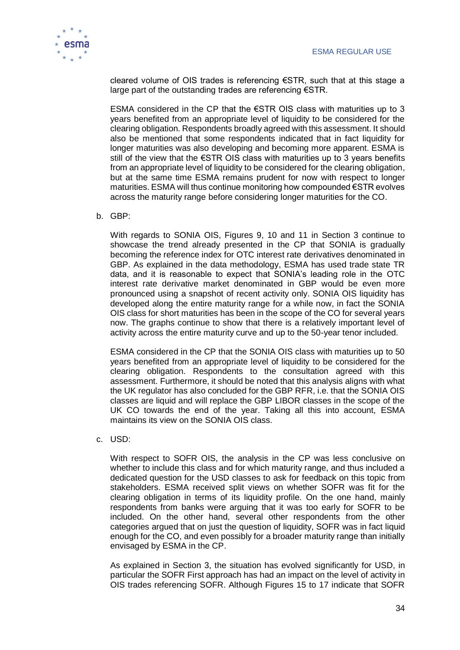

cleared volume of OIS trades is referencing  $\epsilon$ STR, such that at this stage a large part of the outstanding trades are referencing €STR.

ESMA considered in the CP that the €STR OIS class with maturities up to 3 years benefited from an appropriate level of liquidity to be considered for the clearing obligation. Respondents broadly agreed with this assessment. It should also be mentioned that some respondents indicated that in fact liquidity for longer maturities was also developing and becoming more apparent. ESMA is still of the view that the €STR OIS class with maturities up to 3 years benefits from an appropriate level of liquidity to be considered for the clearing obligation, but at the same time ESMA remains prudent for now with respect to longer maturities. ESMA will thus continue monitoring how compounded €STR evolves across the maturity range before considering longer maturities for the CO.

#### b. GBP:

With regards to SONIA OIS, Figures 9, 10 and 11 in Section 3 continue to showcase the trend already presented in the CP that SONIA is gradually becoming the reference index for OTC interest rate derivatives denominated in GBP. As explained in the data methodology, ESMA has used trade state TR data, and it is reasonable to expect that SONIA's leading role in the OTC interest rate derivative market denominated in GBP would be even more pronounced using a snapshot of recent activity only. SONIA OIS liquidity has developed along the entire maturity range for a while now, in fact the SONIA OIS class for short maturities has been in the scope of the CO for several years now. The graphs continue to show that there is a relatively important level of activity across the entire maturity curve and up to the 50-year tenor included.

ESMA considered in the CP that the SONIA OIS class with maturities up to 50 years benefited from an appropriate level of liquidity to be considered for the clearing obligation. Respondents to the consultation agreed with this assessment. Furthermore, it should be noted that this analysis aligns with what the UK regulator has also concluded for the GBP RFR, i.e. that the SONIA OIS classes are liquid and will replace the GBP LIBOR classes in the scope of the UK CO towards the end of the year. Taking all this into account, ESMA maintains its view on the SONIA OIS class.

c. USD:

With respect to SOFR OIS, the analysis in the CP was less conclusive on whether to include this class and for which maturity range, and thus included a dedicated question for the USD classes to ask for feedback on this topic from stakeholders. ESMA received split views on whether SOFR was fit for the clearing obligation in terms of its liquidity profile. On the one hand, mainly respondents from banks were arguing that it was too early for SOFR to be included. On the other hand, several other respondents from the other categories argued that on just the question of liquidity, SOFR was in fact liquid enough for the CO, and even possibly for a broader maturity range than initially envisaged by ESMA in the CP.

As explained in Section 3, the situation has evolved significantly for USD, in particular the SOFR First approach has had an impact on the level of activity in OIS trades referencing SOFR. Although Figures 15 to 17 indicate that SOFR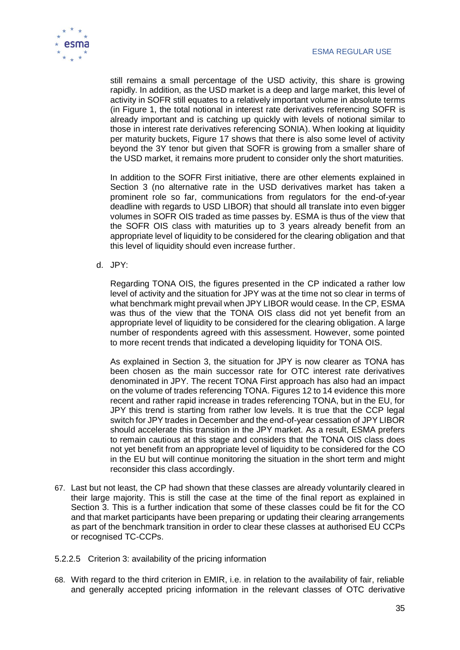

still remains a small percentage of the USD activity, this share is growing rapidly. In addition, as the USD market is a deep and large market, this level of activity in SOFR still equates to a relatively important volume in absolute terms (in Figure 1, the total notional in interest rate derivatives referencing SOFR is already important and is catching up quickly with levels of notional similar to those in interest rate derivatives referencing SONIA). When looking at liquidity per maturity buckets, Figure 17 shows that there is also some level of activity beyond the 3Y tenor but given that SOFR is growing from a smaller share of the USD market, it remains more prudent to consider only the short maturities.

In addition to the SOFR First initiative, there are other elements explained in Section 3 (no alternative rate in the USD derivatives market has taken a prominent role so far, communications from regulators for the end-of-year deadline with regards to USD LIBOR) that should all translate into even bigger volumes in SOFR OIS traded as time passes by. ESMA is thus of the view that the SOFR OIS class with maturities up to 3 years already benefit from an appropriate level of liquidity to be considered for the clearing obligation and that this level of liquidity should even increase further.

d. JPY:

Regarding TONA OIS, the figures presented in the CP indicated a rather low level of activity and the situation for JPY was at the time not so clear in terms of what benchmark might prevail when JPY LIBOR would cease. In the CP, ESMA was thus of the view that the TONA OIS class did not yet benefit from an appropriate level of liquidity to be considered for the clearing obligation. A large number of respondents agreed with this assessment. However, some pointed to more recent trends that indicated a developing liquidity for TONA OIS.

As explained in Section 3, the situation for JPY is now clearer as TONA has been chosen as the main successor rate for OTC interest rate derivatives denominated in JPY. The recent TONA First approach has also had an impact on the volume of trades referencing TONA. Figures 12 to 14 evidence this more recent and rather rapid increase in trades referencing TONA, but in the EU, for JPY this trend is starting from rather low levels. It is true that the CCP legal switch for JPY trades in December and the end-of-year cessation of JPY LIBOR should accelerate this transition in the JPY market. As a result, ESMA prefers to remain cautious at this stage and considers that the TONA OIS class does not yet benefit from an appropriate level of liquidity to be considered for the CO in the EU but will continue monitoring the situation in the short term and might reconsider this class accordingly.

- 67. Last but not least, the CP had shown that these classes are already voluntarily cleared in their large majority. This is still the case at the time of the final report as explained in Section 3. This is a further indication that some of these classes could be fit for the CO and that market participants have been preparing or updating their clearing arrangements as part of the benchmark transition in order to clear these classes at authorised EU CCPs or recognised TC-CCPs.
- 5.2.2.5 Criterion 3: availability of the pricing information
- 68. With regard to the third criterion in EMIR, i.e. in relation to the availability of fair, reliable and generally accepted pricing information in the relevant classes of OTC derivative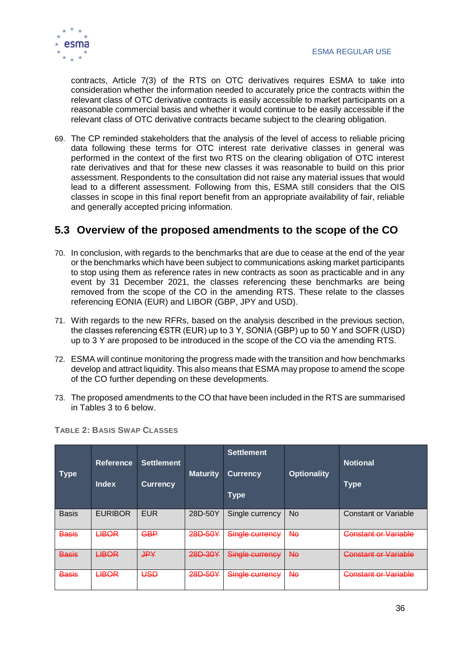

contracts, Article 7(3) of the RTS on OTC derivatives requires ESMA to take into consideration whether the information needed to accurately price the contracts within the relevant class of OTC derivative contracts is easily accessible to market participants on a reasonable commercial basis and whether it would continue to be easily accessible if the relevant class of OTC derivative contracts became subject to the clearing obligation.

69. The CP reminded stakeholders that the analysis of the level of access to reliable pricing data following these terms for OTC interest rate derivative classes in general was performed in the context of the first two RTS on the clearing obligation of OTC interest rate derivatives and that for these new classes it was reasonable to build on this prior assessment. Respondents to the consultation did not raise any material issues that would lead to a different assessment. Following from this, ESMA still considers that the OIS classes in scope in this final report benefit from an appropriate availability of fair, reliable and generally accepted pricing information.

### <span id="page-36-0"></span>**5.3 Overview of the proposed amendments to the scope of the CO**

- 70. In conclusion, with regards to the benchmarks that are due to cease at the end of the year or the benchmarks which have been subject to communications asking market participants to stop using them as reference rates in new contracts as soon as practicable and in any event by 31 December 2021, the classes referencing these benchmarks are being removed from the scope of the CO in the amending RTS. These relate to the classes referencing EONIA (EUR) and LIBOR (GBP, JPY and USD).
- 71. With regards to the new RFRs, based on the analysis described in the previous section, the classes referencing €STR (EUR) up to 3 Y, SONIA (GBP) up to 50 Y and SOFR (USD) up to 3 Y are proposed to be introduced in the scope of the CO via the amending RTS.
- 72. ESMA will continue monitoring the progress made with the transition and how benchmarks develop and attract liquidity. This also means that ESMA may propose to amend the scope of the CO further depending on these developments.
- 73. The proposed amendments to the CO that have been included in the RTS are summarised in Tables 3 to 6 below.

| <b>Type</b>  | <b>Reference</b><br><b>Index</b> | <b>Settlement</b><br><b>Currency</b> | <b>Maturity</b> | <b>Settlement</b><br><b>Currency</b><br><b>Type</b> | <b>Optionality</b> | <b>Notional</b><br><b>Type</b>                   |
|--------------|----------------------------------|--------------------------------------|-----------------|-----------------------------------------------------|--------------------|--------------------------------------------------|
| <b>Basis</b> | <b>EURIBOR</b>                   | <b>EUR</b>                           | 28D-50Y         | Single currency                                     | No.                | <b>Constant or Variable</b>                      |
| <b>Basis</b> | <b>LIBOR</b>                     | <b>GBP</b>                           | 28D-50Y         | Single currency                                     | Nθ                 | <b>Constant or Variable</b>                      |
| <b>Basis</b> | <b>LIBOR</b>                     | <b>JPY</b>                           | 28D-30Y         | Single currency                                     | <b>No</b>          | Constant or Variable<br><del>odnom u vrhom</del> |
| <b>Basis</b> | <b>LIBOR</b>                     | USD                                  | 28D-50Y         | Single currency                                     | Nθ                 | Constant or Variable                             |

**TABLE 2: BASIS SWAP CLASSES**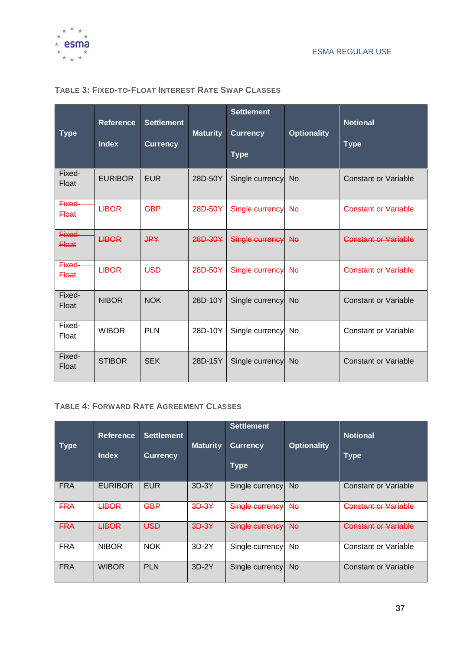

### **Type Reference Index Settlement Currency Maturity Settlement Currency Type Optionality Notional Type**  $Fixed-$  EURIBOR Float EURIBOR EUR 28D-50Y Single currency No Constant or Variable  $F$ ixed- $H$ Fixed-<br>Float LIBOR GBP 28D-50Y Single currency No Constant or Variable  $Fixed$   $HBOR$ Fixed-<br>Float LIBOR JPY 28D-30Y Single currency No Constant or Variable  $F$ ixed- $H$ BOR Fixed-<br>Float LIBOR USD 28D-50Y Single currency No Constant or Variable  $Fixed-$  NIBOR Fixed- NIBOR NOK 28D-10Y Single currency No Constant or Variable Fixed- to-Fixed-<br>Float WIBOR PLN 28D-10Y Single currency No Constant or Variable  $Fixed-$  STIBOR Fixed- STIBOR SEK 28D-15Y Single currency No Constant or Variable

### **TABLE 3: FIXED-TO-FLOAT INTEREST RATE SWAP CLASSES**

### **TABLE 4: FORWARD RATE AGREEMENT CLASSES**

| <b>Type</b> | <b>Reference</b><br><b>Index</b> | <b>Settlement</b><br><b>Currency</b> | <b>Maturity</b> | <b>Settlement</b><br><b>Currency</b><br><b>Type</b> | <b>Optionality</b> | <b>Notional</b><br><b>Type</b> |
|-------------|----------------------------------|--------------------------------------|-----------------|-----------------------------------------------------|--------------------|--------------------------------|
| <b>FRA</b>  | <b>EURIBOR</b>                   | <b>EUR</b>                           | $3D-3Y$         | Single currency                                     | <b>No</b>          | <b>Constant or Variable</b>    |
| <b>FRA</b>  | <b>LIBOR</b>                     | <b>GBP</b>                           | $3D-3Y$         | Single currency                                     | <b>No</b>          | Constant or Variable           |
| <b>FRA</b>  | <b>LIBOR</b>                     | USD                                  | $3D-3Y$         | Single currency                                     | <b>No</b>          | <b>Constant or Variable</b>    |
| <b>FRA</b>  | <b>NIBOR</b>                     | <b>NOK</b>                           | $3D-2Y$         | Single currency                                     | No                 | <b>Constant or Variable</b>    |
| <b>FRA</b>  | <b>WIBOR</b>                     | <b>PLN</b>                           | $3D-2Y$         | Single currency                                     | <b>No</b>          | <b>Constant or Variable</b>    |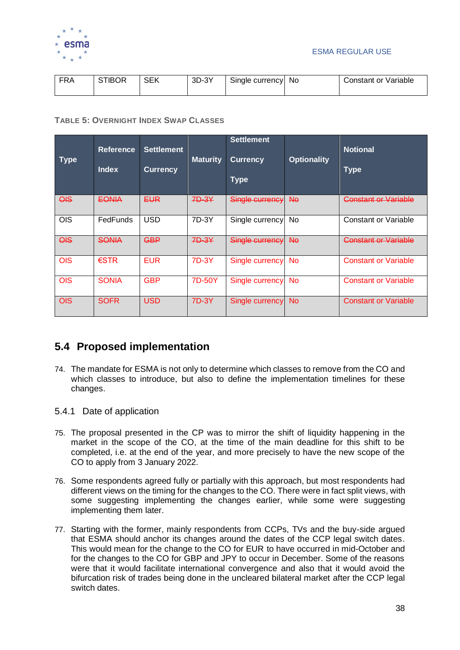

| ED A<br>N٣ | TIBOR | CFD<br>ີນ∟'ີ | 3D-3Y | Single currency | No. | Constant or Variable |
|------------|-------|--------------|-------|-----------------|-----|----------------------|
|------------|-------|--------------|-------|-----------------|-----|----------------------|

### **TABLE 5: OVERNIGHT INDEX SWAP CLASSES**

| <b>Type</b>               | <b>Reference</b><br><b>Index</b> | <b>Settlement</b><br><b>Currency</b> | <b>Maturity</b> | <b>Settlement</b><br><b>Currency</b><br><b>Type</b> | <b>Optionality</b> | <b>Notional</b><br><b>Type</b> |
|---------------------------|----------------------------------|--------------------------------------|-----------------|-----------------------------------------------------|--------------------|--------------------------------|
| $\overline{\mathsf{QIS}}$ | <b>EONIA</b>                     | EUR                                  | 7D-3Y           | Single currency                                     | <b>No</b>          | Constant or Variable           |
| OIS                       | FedFunds                         | <b>USD</b>                           | 7D-3Y           | Single currency                                     | No                 | <b>Constant or Variable</b>    |
| $\overline{O}$            | <b>SONIA</b>                     | <b>GBP</b>                           | 7D-3Y           | Single currency                                     | <b>No</b>          | <b>Constant or Variable</b>    |
| <b>OIS</b>                | $\epsilon$ STR                   | <b>EUR</b>                           | 7D-3Y           | Single currency                                     | <b>No</b>          | <b>Constant or Variable</b>    |
| <b>OIS</b>                | <b>SONIA</b>                     | <b>GBP</b>                           | 7D-50Y          | <b>Single currency</b>                              | No                 | <b>Constant or Variable</b>    |
| <b>OIS</b>                | <b>SOFR</b>                      | <b>USD</b>                           | 7D-3Y           | Single currency                                     | <b>No</b>          | <b>Constant or Variable</b>    |

### <span id="page-38-0"></span>**5.4 Proposed implementation**

- 74. The mandate for ESMA is not only to determine which classes to remove from the CO and which classes to introduce, but also to define the implementation timelines for these changes.
- 5.4.1 Date of application
- 75. The proposal presented in the CP was to mirror the shift of liquidity happening in the market in the scope of the CO, at the time of the main deadline for this shift to be completed, i.e. at the end of the year, and more precisely to have the new scope of the CO to apply from 3 January 2022.
- 76. Some respondents agreed fully or partially with this approach, but most respondents had different views on the timing for the changes to the CO. There were in fact split views, with some suggesting implementing the changes earlier, while some were suggesting implementing them later.
- 77. Starting with the former, mainly respondents from CCPs, TVs and the buy-side argued that ESMA should anchor its changes around the dates of the CCP legal switch dates. This would mean for the change to the CO for EUR to have occurred in mid-October and for the changes to the CO for GBP and JPY to occur in December. Some of the reasons were that it would facilitate international convergence and also that it would avoid the bifurcation risk of trades being done in the uncleared bilateral market after the CCP legal switch dates.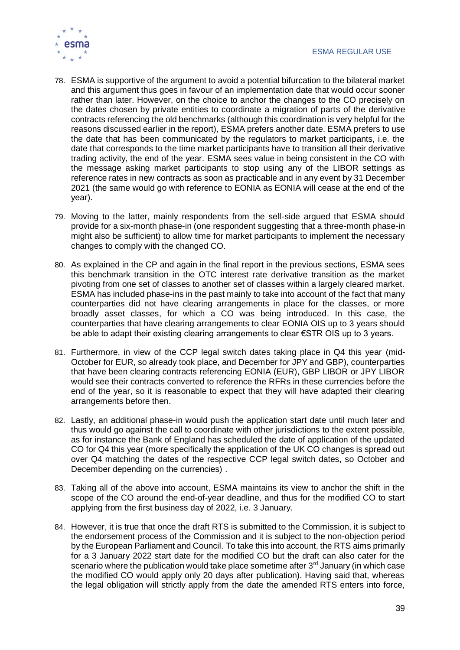

- 78. ESMA is supportive of the argument to avoid a potential bifurcation to the bilateral market and this argument thus goes in favour of an implementation date that would occur sooner rather than later. However, on the choice to anchor the changes to the CO precisely on the dates chosen by private entities to coordinate a migration of parts of the derivative contracts referencing the old benchmarks (although this coordination is very helpful for the reasons discussed earlier in the report), ESMA prefers another date. ESMA prefers to use the date that has been communicated by the regulators to market participants, i.e. the date that corresponds to the time market participants have to transition all their derivative trading activity, the end of the year. ESMA sees value in being consistent in the CO with the message asking market participants to stop using any of the LIBOR settings as reference rates in new contracts as soon as practicable and in any event by 31 December 2021 (the same would go with reference to EONIA as EONIA will cease at the end of the year).
- 79. Moving to the latter, mainly respondents from the sell-side argued that ESMA should provide for a six-month phase-in (one respondent suggesting that a three-month phase-in might also be sufficient) to allow time for market participants to implement the necessary changes to comply with the changed CO.
- 80. As explained in the CP and again in the final report in the previous sections, ESMA sees this benchmark transition in the OTC interest rate derivative transition as the market pivoting from one set of classes to another set of classes within a largely cleared market. ESMA has included phase-ins in the past mainly to take into account of the fact that many counterparties did not have clearing arrangements in place for the classes, or more broadly asset classes, for which a CO was being introduced. In this case, the counterparties that have clearing arrangements to clear EONIA OIS up to 3 years should be able to adapt their existing clearing arrangements to clear €STR OIS up to 3 years.
- 81. Furthermore, in view of the CCP legal switch dates taking place in Q4 this year (mid-October for EUR, so already took place, and December for JPY and GBP), counterparties that have been clearing contracts referencing EONIA (EUR), GBP LIBOR or JPY LIBOR would see their contracts converted to reference the RFRs in these currencies before the end of the year, so it is reasonable to expect that they will have adapted their clearing arrangements before then.
- 82. Lastly, an additional phase-in would push the application start date until much later and thus would go against the call to coordinate with other jurisdictions to the extent possible, as for instance the Bank of England has scheduled the date of application of the updated CO for Q4 this year (more specifically the application of the UK CO changes is spread out over Q4 matching the dates of the respective CCP legal switch dates, so October and December depending on the currencies) .
- 83. Taking all of the above into account, ESMA maintains its view to anchor the shift in the scope of the CO around the end-of-year deadline, and thus for the modified CO to start applying from the first business day of 2022, i.e. 3 January.
- 84. However, it is true that once the draft RTS is submitted to the Commission, it is subject to the endorsement process of the Commission and it is subject to the non-objection period by the European Parliament and Council. To take this into account, the RTS aims primarily for a 3 January 2022 start date for the modified CO but the draft can also cater for the scenario where the publication would take place sometime after  $3<sup>rd</sup>$  January (in which case the modified CO would apply only 20 days after publication). Having said that, whereas the legal obligation will strictly apply from the date the amended RTS enters into force,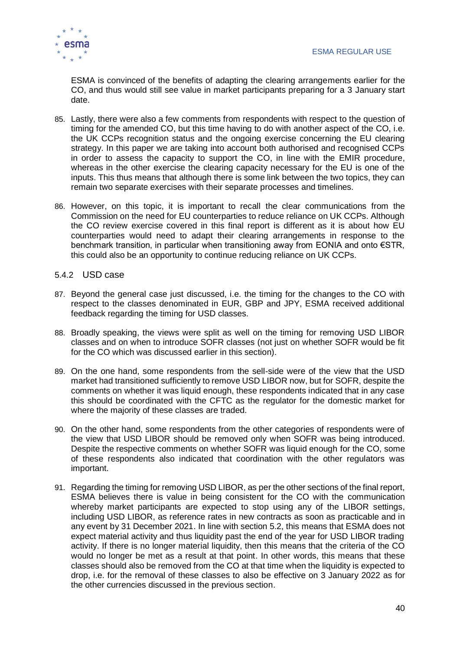

ESMA is convinced of the benefits of adapting the clearing arrangements earlier for the CO, and thus would still see value in market participants preparing for a 3 January start date.

- 85. Lastly, there were also a few comments from respondents with respect to the question of timing for the amended CO, but this time having to do with another aspect of the CO, i.e. the UK CCPs recognition status and the ongoing exercise concerning the EU clearing strategy. In this paper we are taking into account both authorised and recognised CCPs in order to assess the capacity to support the CO, in line with the EMIR procedure, whereas in the other exercise the clearing capacity necessary for the EU is one of the inputs. This thus means that although there is some link between the two topics, they can remain two separate exercises with their separate processes and timelines.
- 86. However, on this topic, it is important to recall the clear communications from the Commission on the need for EU counterparties to reduce reliance on UK CCPs. Although the CO review exercise covered in this final report is different as it is about how EU counterparties would need to adapt their clearing arrangements in response to the benchmark transition, in particular when transitioning away from EONIA and onto €STR, this could also be an opportunity to continue reducing reliance on UK CCPs.

### 5.4.2 USD case

- 87. Beyond the general case just discussed, i.e. the timing for the changes to the CO with respect to the classes denominated in EUR, GBP and JPY, ESMA received additional feedback regarding the timing for USD classes.
- 88. Broadly speaking, the views were split as well on the timing for removing USD LIBOR classes and on when to introduce SOFR classes (not just on whether SOFR would be fit for the CO which was discussed earlier in this section).
- 89. On the one hand, some respondents from the sell-side were of the view that the USD market had transitioned sufficiently to remove USD LIBOR now, but for SOFR, despite the comments on whether it was liquid enough, these respondents indicated that in any case this should be coordinated with the CFTC as the regulator for the domestic market for where the majority of these classes are traded.
- 90. On the other hand, some respondents from the other categories of respondents were of the view that USD LIBOR should be removed only when SOFR was being introduced. Despite the respective comments on whether SOFR was liquid enough for the CO, some of these respondents also indicated that coordination with the other regulators was important.
- 91. Regarding the timing for removing USD LIBOR, as per the other sections of the final report, ESMA believes there is value in being consistent for the CO with the communication whereby market participants are expected to stop using any of the LIBOR settings, including USD LIBOR, as reference rates in new contracts as soon as practicable and in any event by 31 December 2021. In line with section 5.2, this means that ESMA does not expect material activity and thus liquidity past the end of the year for USD LIBOR trading activity. If there is no longer material liquidity, then this means that the criteria of the CO would no longer be met as a result at that point. In other words, this means that these classes should also be removed from the CO at that time when the liquidity is expected to drop, i.e. for the removal of these classes to also be effective on 3 January 2022 as for the other currencies discussed in the previous section.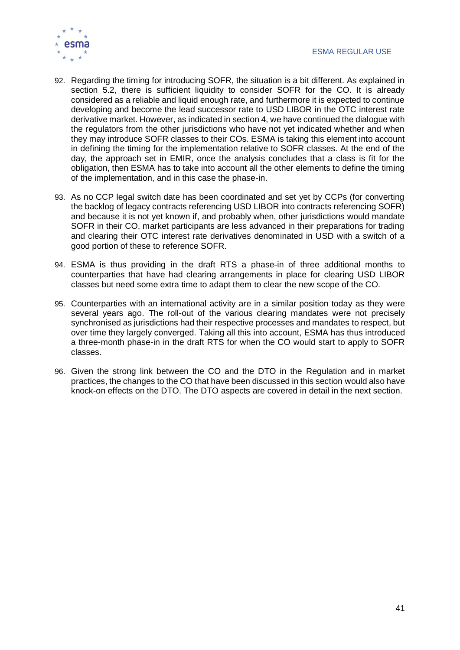

- 92. Regarding the timing for introducing SOFR, the situation is a bit different. As explained in section 5.2, there is sufficient liquidity to consider SOFR for the CO. It is already considered as a reliable and liquid enough rate, and furthermore it is expected to continue developing and become the lead successor rate to USD LIBOR in the OTC interest rate derivative market. However, as indicated in section 4, we have continued the dialogue with the regulators from the other jurisdictions who have not yet indicated whether and when they may introduce SOFR classes to their COs. ESMA is taking this element into account in defining the timing for the implementation relative to SOFR classes. At the end of the day, the approach set in EMIR, once the analysis concludes that a class is fit for the obligation, then ESMA has to take into account all the other elements to define the timing of the implementation, and in this case the phase-in.
- 93. As no CCP legal switch date has been coordinated and set yet by CCPs (for converting the backlog of legacy contracts referencing USD LIBOR into contracts referencing SOFR) and because it is not yet known if, and probably when, other jurisdictions would mandate SOFR in their CO, market participants are less advanced in their preparations for trading and clearing their OTC interest rate derivatives denominated in USD with a switch of a good portion of these to reference SOFR.
- 94. ESMA is thus providing in the draft RTS a phase-in of three additional months to counterparties that have had clearing arrangements in place for clearing USD LIBOR classes but need some extra time to adapt them to clear the new scope of the CO.
- 95. Counterparties with an international activity are in a similar position today as they were several years ago. The roll-out of the various clearing mandates were not precisely synchronised as jurisdictions had their respective processes and mandates to respect, but over time they largely converged. Taking all this into account, ESMA has thus introduced a three-month phase-in in the draft RTS for when the CO would start to apply to SOFR classes.
- 96. Given the strong link between the CO and the DTO in the Regulation and in market practices, the changes to the CO that have been discussed in this section would also have knock-on effects on the DTO. The DTO aspects are covered in detail in the next section.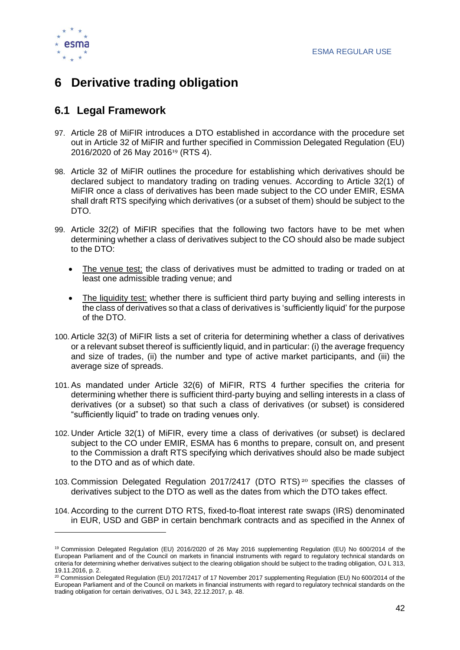

# <span id="page-42-0"></span>**6 Derivative trading obligation**

### <span id="page-42-1"></span>**6.1 Legal Framework**

- 97. Article 28 of MiFIR introduces a DTO established in accordance with the procedure set out in Article 32 of MiFIR and further specified in Commission Delegated Regulation (EU) 2016/2020 of 26 May 2016<sup>19</sup> (RTS 4).
- 98. Article 32 of MiFIR outlines the procedure for establishing which derivatives should be declared subject to mandatory trading on trading venues. According to Article 32(1) of MiFIR once a class of derivatives has been made subject to the CO under EMIR, ESMA shall draft RTS specifying which derivatives (or a subset of them) should be subject to the DTO.
- 99. Article 32(2) of MiFIR specifies that the following two factors have to be met when determining whether a class of derivatives subject to the CO should also be made subject to the DTO:
	- The venue test: the class of derivatives must be admitted to trading or traded on at least one admissible trading venue; and
	- The liquidity test: whether there is sufficient third party buying and selling interests in the class of derivatives so that a class of derivatives is 'sufficiently liquid' for the purpose of the DTO.
- 100. Article 32(3) of MiFIR lists a set of criteria for determining whether a class of derivatives or a relevant subset thereof is sufficiently liquid, and in particular: (i) the average frequency and size of trades, (ii) the number and type of active market participants, and (iii) the average size of spreads.
- 101. As mandated under Article 32(6) of MiFIR, RTS 4 further specifies the criteria for determining whether there is sufficient third-party buying and selling interests in a class of derivatives (or a subset) so that such a class of derivatives (or subset) is considered "sufficiently liquid" to trade on trading venues only.
- 102. Under Article 32(1) of MiFIR, every time a class of derivatives (or subset) is declared subject to the CO under EMIR, ESMA has 6 months to prepare, consult on, and present to the Commission a draft RTS specifying which derivatives should also be made subject to the DTO and as of which date.
- 103. Commission Delegated Regulation 2017/2417 (DTO RTS) <sup>20</sup> specifies the classes of derivatives subject to the DTO as well as the dates from which the DTO takes effect.
- 104. According to the current DTO RTS, fixed-to-float interest rate swaps (IRS) denominated in EUR, USD and GBP in certain benchmark contracts and as specified in the Annex of

<sup>19</sup> Commission Delegated Regulation (EU) 2016/2020 of 26 May 2016 supplementing Regulation (EU) No 600/2014 of the European Parliament and of the Council on markets in financial instruments with regard to regulatory technical standards on criteria for determining whether derivatives subject to the clearing obligation should be subject to the trading obligation, OJ L 313, 19.11.2016, p. 2.

<sup>20</sup> Commission Delegated Regulation (EU) 2017/2417 of 17 November 2017 supplementing Regulation (EU) No 600/2014 of the European Parliament and of the Council on markets in financial instruments with regard to regulatory technical standards on the trading obligation for certain derivatives, OJ L 343, 22.12.2017, p. 48.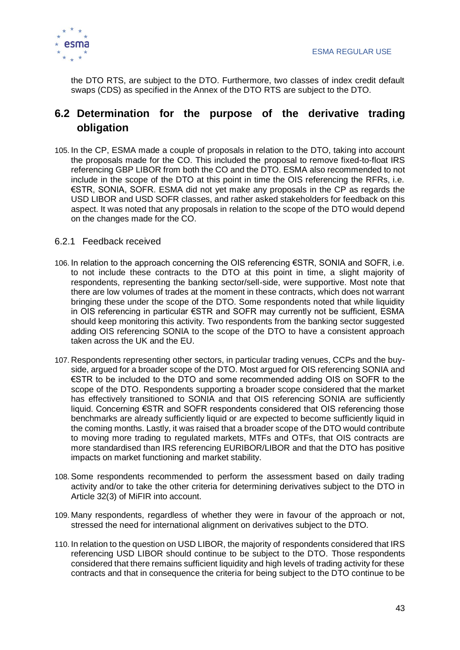

the DTO RTS, are subject to the DTO. Furthermore, two classes of index credit default swaps (CDS) as specified in the Annex of the DTO RTS are subject to the DTO.

### <span id="page-43-0"></span>**6.2 Determination for the purpose of the derivative trading obligation**

105.In the CP, ESMA made a couple of proposals in relation to the DTO, taking into account the proposals made for the CO. This included the proposal to remove fixed-to-float IRS referencing GBP LIBOR from both the CO and the DTO. ESMA also recommended to not include in the scope of the DTO at this point in time the OIS referencing the RFRs, i.e. €STR, SONIA, SOFR. ESMA did not yet make any proposals in the CP as regards the USD LIBOR and USD SOFR classes, and rather asked stakeholders for feedback on this aspect. It was noted that any proposals in relation to the scope of the DTO would depend on the changes made for the CO.

### 6.2.1 Feedback received

- 106.In relation to the approach concerning the OIS referencing €STR, SONIA and SOFR, i.e. to not include these contracts to the DTO at this point in time, a slight majority of respondents, representing the banking sector/sell-side, were supportive. Most note that there are low volumes of trades at the moment in these contracts, which does not warrant bringing these under the scope of the DTO. Some respondents noted that while liquidity in OIS referencing in particular €STR and SOFR may currently not be sufficient, ESMA should keep monitoring this activity. Two respondents from the banking sector suggested adding OIS referencing SONIA to the scope of the DTO to have a consistent approach taken across the UK and the EU.
- 107. Respondents representing other sectors, in particular trading venues, CCPs and the buyside, argued for a broader scope of the DTO. Most argued for OIS referencing SONIA and €STR to be included to the DTO and some recommended adding OIS on SOFR to the scope of the DTO. Respondents supporting a broader scope considered that the market has effectively transitioned to SONIA and that OIS referencing SONIA are sufficiently liquid. Concerning €STR and SOFR respondents considered that OIS referencing those benchmarks are already sufficiently liquid or are expected to become sufficiently liquid in the coming months. Lastly, it was raised that a broader scope of the DTO would contribute to moving more trading to regulated markets, MTFs and OTFs, that OIS contracts are more standardised than IRS referencing EURIBOR/LIBOR and that the DTO has positive impacts on market functioning and market stability.
- 108. Some respondents recommended to perform the assessment based on daily trading activity and/or to take the other criteria for determining derivatives subject to the DTO in Article 32(3) of MiFIR into account.
- 109. Many respondents, regardless of whether they were in favour of the approach or not, stressed the need for international alignment on derivatives subject to the DTO.
- 110. In relation to the question on USD LIBOR, the majority of respondents considered that IRS referencing USD LIBOR should continue to be subject to the DTO. Those respondents considered that there remains sufficient liquidity and high levels of trading activity for these contracts and that in consequence the criteria for being subject to the DTO continue to be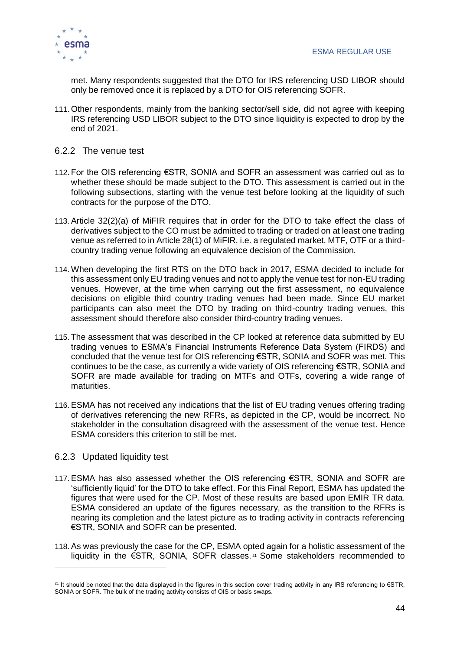

met. Many respondents suggested that the DTO for IRS referencing USD LIBOR should only be removed once it is replaced by a DTO for OIS referencing SOFR.

111. Other respondents, mainly from the banking sector/sell side, did not agree with keeping IRS referencing USD LIBOR subject to the DTO since liquidity is expected to drop by the end of 2021.

### 6.2.2 The venue test

- 112. For the OIS referencing €STR, SONIA and SOFR an assessment was carried out as to whether these should be made subject to the DTO. This assessment is carried out in the following subsections, starting with the venue test before looking at the liquidity of such contracts for the purpose of the DTO.
- 113. Article 32(2)(a) of MiFIR requires that in order for the DTO to take effect the class of derivatives subject to the CO must be admitted to trading or traded on at least one trading venue as referred to in Article 28(1) of MiFIR, i.e. a regulated market, MTF, OTF or a thirdcountry trading venue following an equivalence decision of the Commission.
- 114. When developing the first RTS on the DTO back in 2017, ESMA decided to include for this assessment only EU trading venues and not to apply the venue test for non-EU trading venues. However, at the time when carrying out the first assessment, no equivalence decisions on eligible third country trading venues had been made. Since EU market participants can also meet the DTO by trading on third-country trading venues, this assessment should therefore also consider third-country trading venues.
- 115. The assessment that was described in the CP looked at reference data submitted by EU trading venues to ESMA's Financial Instruments Reference Data System (FIRDS) and concluded that the venue test for OIS referencing €STR, SONIA and SOFR was met. This continues to be the case, as currently a wide variety of OIS referencing €STR, SONIA and SOFR are made available for trading on MTFs and OTFs, covering a wide range of maturities.
- 116. ESMA has not received any indications that the list of EU trading venues offering trading of derivatives referencing the new RFRs, as depicted in the CP, would be incorrect. No stakeholder in the consultation disagreed with the assessment of the venue test. Hence ESMA considers this criterion to still be met.

### 6.2.3 Updated liquidity test

- 117. ESMA has also assessed whether the OIS referencing €STR, SONIA and SOFR are 'sufficiently liquid' for the DTO to take effect. For this Final Report, ESMA has updated the figures that were used for the CP. Most of these results are based upon EMIR TR data. ESMA considered an update of the figures necessary, as the transition to the RFRs is nearing its completion and the latest picture as to trading activity in contracts referencing €STR, SONIA and SOFR can be presented.
- 118. As was previously the case for the CP, ESMA opted again for a holistic assessment of the liquidity in the €STR, SONIA, SOFR classes. <sup>21</sup> Some stakeholders recommended to

<sup>&</sup>lt;sup>21</sup> It should be noted that the data displayed in the figures in this section cover trading activity in any IRS referencing to  $\epsilon$ STR, SONIA or SOFR. The bulk of the trading activity consists of OIS or basis swaps.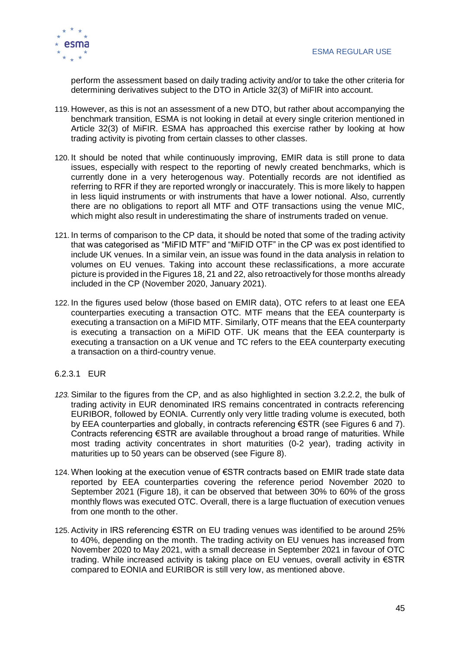

perform the assessment based on daily trading activity and/or to take the other criteria for determining derivatives subject to the DTO in Article 32(3) of MiFIR into account.

- 119. However, as this is not an assessment of a new DTO, but rather about accompanying the benchmark transition, ESMA is not looking in detail at every single criterion mentioned in Article 32(3) of MiFIR. ESMA has approached this exercise rather by looking at how trading activity is pivoting from certain classes to other classes.
- 120.It should be noted that while continuously improving, EMIR data is still prone to data issues, especially with respect to the reporting of newly created benchmarks, which is currently done in a very heterogenous way. Potentially records are not identified as referring to RFR if they are reported wrongly or inaccurately. This is more likely to happen in less liquid instruments or with instruments that have a lower notional. Also, currently there are no obligations to report all MTF and OTF transactions using the venue MIC, which might also result in underestimating the share of instruments traded on venue.
- 121.In terms of comparison to the CP data, it should be noted that some of the trading activity that was categorised as "MiFID MTF" and "MiFID OTF" in the CP was ex post identified to include UK venues. In a similar vein, an issue was found in the data analysis in relation to volumes on EU venues. Taking into account these reclassifications, a more accurate picture is provided in the Figures 18, 21 and 22, also retroactively for those months already included in the CP (November 2020, January 2021).
- 122.In the figures used below (those based on EMIR data), OTC refers to at least one EEA counterparties executing a transaction OTC. MTF means that the EEA counterparty is executing a transaction on a MiFID MTF. Similarly, OTF means that the EEA counterparty is executing a transaction on a MiFID OTF. UK means that the EEA counterparty is executing a transaction on a UK venue and TC refers to the EEA counterparty executing a transaction on a third-country venue.

### 6.2.3.1 EUR

- *123.* Similar to the figures from the CP, and as also highlighted in section 3.2.2.2, the bulk of trading activity in EUR denominated IRS remains concentrated in contracts referencing EURIBOR, followed by EONIA. Currently only very little trading volume is executed, both by EEA counterparties and globally, in contracts referencing €STR (see Figures 6 and 7). Contracts referencing €STR are available throughout a broad range of maturities. While most trading activity concentrates in short maturities (0-2 year), trading activity in maturities up to 50 years can be observed (see Figure 8).
- 124. When looking at the execution venue of €STR contracts based on EMIR trade state data reported by EEA counterparties covering the reference period November 2020 to September 2021 (Figure 18), it can be observed that between 30% to 60% of the gross monthly flows was executed OTC. Overall, there is a large fluctuation of execution venues from one month to the other.
- 125. Activity in IRS referencing €STR on EU trading venues was identified to be around 25% to 40%, depending on the month. The trading activity on EU venues has increased from November 2020 to May 2021, with a small decrease in September 2021 in favour of OTC trading. While increased activity is taking place on EU venues, overall activity in €STR compared to EONIA and EURIBOR is still very low, as mentioned above.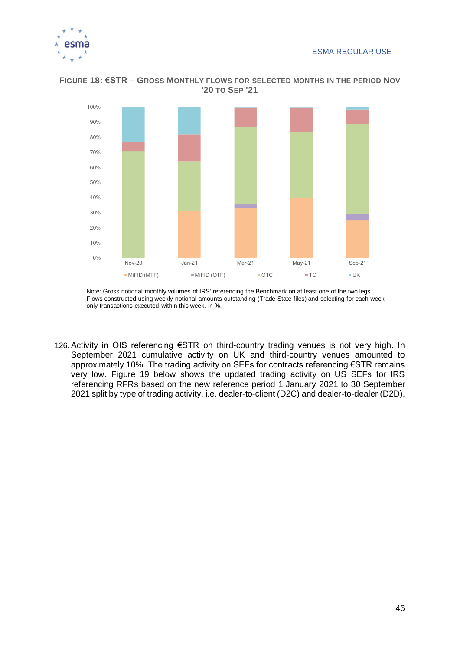



#### **FIGURE 18: €STR – GROSS MONTHLY FLOWS FOR SELECTED MONTHS IN THE PERIOD NOV '20 TO SEP '21**

Note: Gross notional monthly volumes of IRS' referencing the Benchmark on at least one of the two legs. Flows constructed using weekly notional amounts outstanding (Trade State files) and selecting for each week only transactions executed within this week. in %.

126. Activity in OIS referencing €STR on third-country trading venues is not very high. In September 2021 cumulative activity on UK and third-country venues amounted to approximately 10%. The trading activity on SEFs for contracts referencing €STR remains very low. Figure 19 below shows the updated trading activity on US SEFs for IRS referencing RFRs based on the new reference period 1 January 2021 to 30 September 2021 split by type of trading activity, i.e. dealer-to-client (D2C) and dealer-to-dealer (D2D).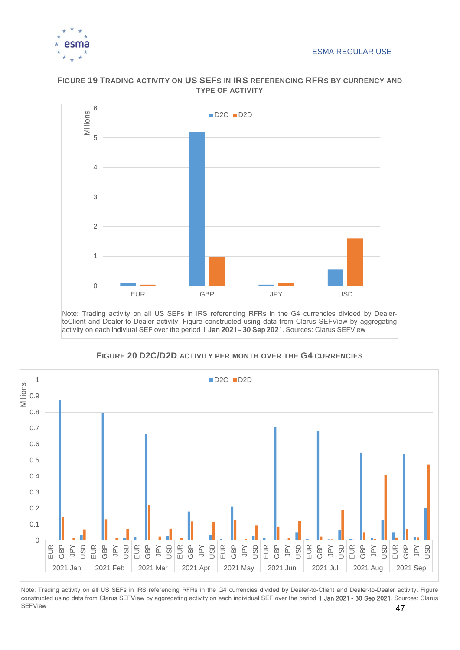



### **FIGURE 19 TRADING ACTIVITY ON US SEFS IN IRS REFERENCING RFRS BY CURRENCY AND TYPE OF ACTIVITY**

Note: Trading activity on all US SEFs in IRS referencing RFRs in the G4 currencies divided by DealertoClient and Dealer-to-Dealer activity. Figure constructed using data from Clarus SEFView by aggregating activity on each indiviual SEF over the period 1 Jan 2021 - 30 Sep 2021. Sources: Clarus SEFView



**FIGURE 20 D2C/D2D ACTIVITY PER MONTH OVER THE G4 CURRENCIES**

47 Note: Trading activity on all US SEFs in IRS referencing RFRs in the G4 currencies divided by Dealer-to-Client and Dealer-to-Dealer activity. Figure constructed using data from Clarus SEFView by aggregating activity on each individual SEF over the period 1 Jan 2021 - 30 Sep 2021. Sources: Clarus SEFView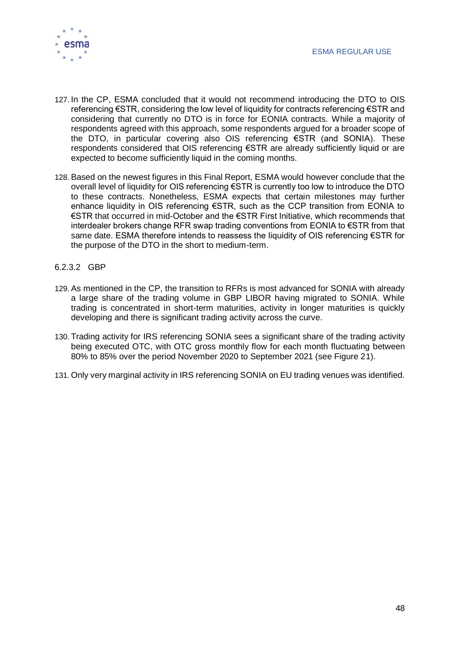

- 127.In the CP, ESMA concluded that it would not recommend introducing the DTO to OIS referencing €STR, considering the low level of liquidity for contracts referencing €STR and considering that currently no DTO is in force for EONIA contracts. While a majority of respondents agreed with this approach, some respondents argued for a broader scope of the DTO, in particular covering also OIS referencing €STR (and SONIA). These respondents considered that OIS referencing €STR are already sufficiently liquid or are expected to become sufficiently liquid in the coming months.
- 128. Based on the newest figures in this Final Report, ESMA would however conclude that the overall level of liquidity for OIS referencing €STR is currently too low to introduce the DTO to these contracts. Nonetheless, ESMA expects that certain milestones may further enhance liquidity in OIS referencing €STR, such as the CCP transition from EONIA to €STR that occurred in mid-October and the €STR First Initiative, which recommends that interdealer brokers change RFR swap trading conventions from EONIA to €STR from that same date. ESMA therefore intends to reassess the liquidity of OIS referencing €STR for the purpose of the DTO in the short to medium-term.
- 6.2.3.2 GBP
- 129. As mentioned in the CP, the transition to RFRs is most advanced for SONIA with already a large share of the trading volume in GBP LIBOR having migrated to SONIA. While trading is concentrated in short-term maturities, activity in longer maturities is quickly developing and there is significant trading activity across the curve.
- 130. Trading activity for IRS referencing SONIA sees a significant share of the trading activity being executed OTC, with OTC gross monthly flow for each month fluctuating between 80% to 85% over the period November 2020 to September 2021 (see Figure 21).
- 131. Only very marginal activity in IRS referencing SONIA on EU trading venues was identified.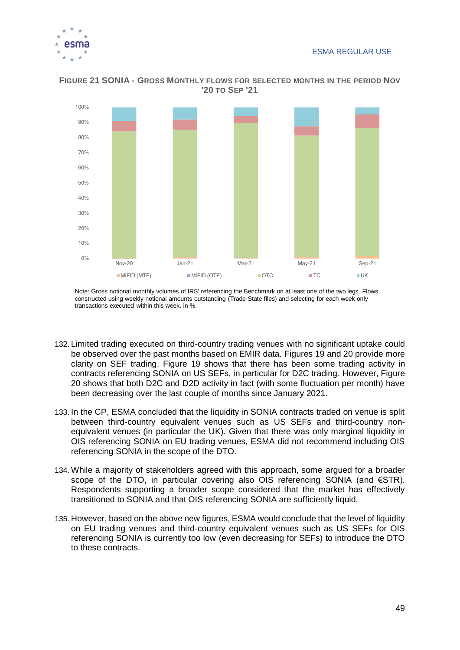



#### **FIGURE 21 SONIA - GROSS MONTHLY FLOWS FOR SELECTED MONTHS IN THE PERIOD NOV '20 TO SEP '21**

Note: Gross notional monthly volumes of IRS' referencing the Benchmark on at least one of the two legs. Flows constructed using weekly notional amounts outstanding (Trade State files) and selecting for each week only transactions executed within this week. in %.

- 132. Limited trading executed on third-country trading venues with no significant uptake could be observed over the past months based on EMIR data. Figures 19 and 20 provide more clarity on SEF trading. Figure 19 shows that there has been some trading activity in contracts referencing SONIA on US SEFs, in particular for D2C trading. However, Figure 20 shows that both D2C and D2D activity in fact (with some fluctuation per month) have been decreasing over the last couple of months since January 2021.
- 133.In the CP, ESMA concluded that the liquidity in SONIA contracts traded on venue is split between third-country equivalent venues such as US SEFs and third-country nonequivalent venues (in particular the UK). Given that there was only marginal liquidity in OIS referencing SONIA on EU trading venues, ESMA did not recommend including OIS referencing SONIA in the scope of the DTO.
- 134. While a majority of stakeholders agreed with this approach, some argued for a broader scope of the DTO, in particular covering also OIS referencing SONIA (and €STR). Respondents supporting a broader scope considered that the market has effectively transitioned to SONIA and that OIS referencing SONIA are sufficiently liquid.
- 135. However, based on the above new figures, ESMA would conclude that the level of liquidity on EU trading venues and third-country equivalent venues such as US SEFs for OIS referencing SONIA is currently too low (even decreasing for SEFs) to introduce the DTO to these contracts.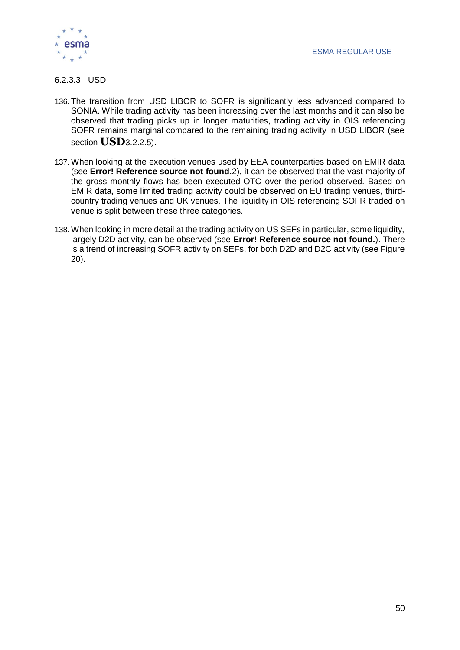

#### 6.2.3.3 USD

- 136. The transition from USD LIBOR to SOFR is significantly less advanced compared to SONIA. While trading activity has been increasing over the last months and it can also be observed that trading picks up in longer maturities, trading activity in OIS referencing SOFR remains marginal compared to the remaining trading activity in USD LIBOR (see section **[USD](#page-24-1)**[3.2.2.5\)](#page-24-1).
- 137. When looking at the execution venues used by EEA counterparties based on EMIR data (see **Error! Reference source not found.**2), it can be observed that the vast majority of the gross monthly flows has been executed OTC over the period observed. Based on EMIR data, some limited trading activity could be observed on EU trading venues, thirdcountry trading venues and UK venues. The liquidity in OIS referencing SOFR traded on venue is split between these three categories.
- 138. When looking in more detail at the trading activity on US SEFs in particular, some liquidity, largely D2D activity, can be observed (see **Error! Reference source not found.**). There is a trend of increasing SOFR activity on SEFs, for both D2D and D2C activity (see Figure 20).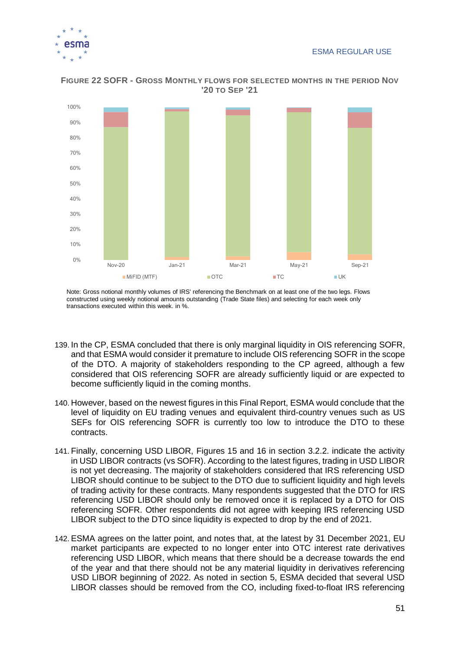



#### **FIGURE 22 SOFR - GROSS MONTHLY FLOWS FOR SELECTED MONTHS IN THE PERIOD NOV '20 TO SEP '21**

Note: Gross notional monthly volumes of IRS' referencing the Benchmark on at least one of the two legs. Flows constructed using weekly notional amounts outstanding (Trade State files) and selecting for each week only transactions executed within this week. in %.

- 139.In the CP, ESMA concluded that there is only marginal liquidity in OIS referencing SOFR, and that ESMA would consider it premature to include OIS referencing SOFR in the scope of the DTO. A majority of stakeholders responding to the CP agreed, although a few considered that OIS referencing SOFR are already sufficiently liquid or are expected to become sufficiently liquid in the coming months.
- 140. However, based on the newest figures in this Final Report, ESMA would conclude that the level of liquidity on EU trading venues and equivalent third-country venues such as US SEFs for OIS referencing SOFR is currently too low to introduce the DTO to these contracts.
- 141. Finally, concerning USD LIBOR, Figures 15 and 16 in section 3.2.2. indicate the activity in USD LIBOR contracts (vs SOFR). According to the latest figures, trading in USD LIBOR is not yet decreasing. The majority of stakeholders considered that IRS referencing USD LIBOR should continue to be subject to the DTO due to sufficient liquidity and high levels of trading activity for these contracts. Many respondents suggested that the DTO for IRS referencing USD LIBOR should only be removed once it is replaced by a DTO for OIS referencing SOFR. Other respondents did not agree with keeping IRS referencing USD LIBOR subject to the DTO since liquidity is expected to drop by the end of 2021.
- 142. ESMA agrees on the latter point, and notes that, at the latest by 31 December 2021, EU market participants are expected to no longer enter into OTC interest rate derivatives referencing USD LIBOR, which means that there should be a decrease towards the end of the year and that there should not be any material liquidity in derivatives referencing USD LIBOR beginning of 2022. As noted in section 5, ESMA decided that several USD LIBOR classes should be removed from the CO, including fixed-to-float IRS referencing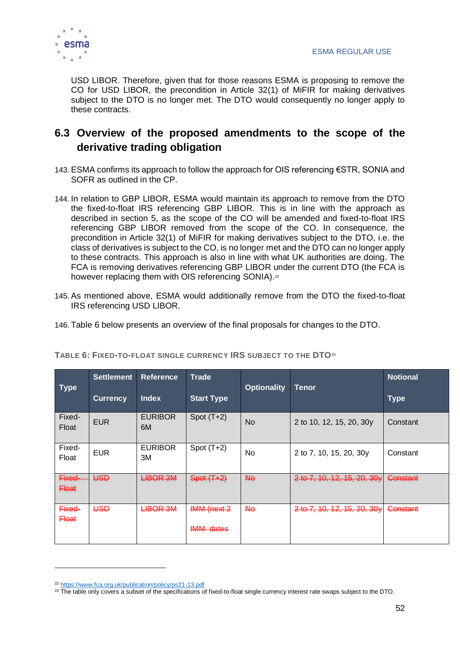

USD LIBOR. Therefore, given that for those reasons ESMA is proposing to remove the CO for USD LIBOR, the precondition in Article 32(1) of MiFIR for making derivatives subject to the DTO is no longer met. The DTO would consequently no longer apply to these contracts.

### <span id="page-52-0"></span>**6.3 Overview of the proposed amendments to the scope of the derivative trading obligation**

- 143. ESMA confirms its approach to follow the approach for OIS referencing €STR, SONIA and SOFR as outlined in the CP.
- 144.In relation to GBP LIBOR, ESMA would maintain its approach to remove from the DTO the fixed-to-float IRS referencing GBP LIBOR. This is in line with the approach as described in section 5, as the scope of the CO will be amended and fixed-to-float IRS referencing GBP LIBOR removed from the scope of the CO. In consequence, the precondition in Article 32(1) of MiFIR for making derivatives subject to the DTO, i.e. the class of derivatives is subject to the CO, is no longer met and the DTO can no longer apply to these contracts. This approach is also in line with what UK authorities are doing. The FCA is removing derivatives referencing GBP LIBOR under the current DTO (the FCA is however replacing them with OIS referencing SONIA).<sup>22</sup>
- 145. As mentioned above, ESMA would additionally remove from the DTO the fixed-to-float IRS referencing USD LIBOR.
- 146. [Table 6](#page-52-1) below presents an overview of the final proposals for changes to the DTO.

| Type                              | <b>Settlement</b> | <b>Reference</b>     | <b>Trade</b>                           | <b>Optionality</b> | <b>Tenor</b>                | <b>Notional</b> |
|-----------------------------------|-------------------|----------------------|----------------------------------------|--------------------|-----------------------------|-----------------|
|                                   | <b>Currency</b>   | <b>Index</b>         | <b>Start Type</b>                      |                    |                             | <b>Type</b>     |
| Fixed-<br>Float                   | <b>EUR</b>        | <b>EURIBOR</b><br>6M | Spot $(T+2)$                           | <b>No</b>          | 2 to 10, 12, 15, 20, 30y    | Constant        |
| Fixed-<br>Float                   | <b>EUR</b>        | <b>EURIBOR</b><br>3M | Spot $(T+2)$                           | <b>No</b>          | 2 to 7, 10, 15, 20, 30y     | Constant        |
| Fixed-<br><del>Float</del>        | USD               | <b>LIBOR 3M</b>      | $Spot (T+2)$                           | Nө                 | 2 to 7, 10, 12, 15, 20, 30y | Constant        |
| <del>Fixed-</del><br><b>Float</b> | USD               | <b>LIBOR 3M</b>      | <b>IMM (next 2</b><br><b>IMM</b> dates | <del>No</del>      | 2 to 7, 10, 12, 15, 20, 30y | Constant        |

<span id="page-52-1"></span>**TABLE 6: FIXED-TO-FLOAT SINGLE CURRENCY IRS SUBJECT TO THE DTO<sup>23</sup>**

<sup>22</sup> <https://www.fca.org.uk/publication/policy/ps21-13.pdf>

<sup>&</sup>lt;sup>23</sup> The table only covers a subset of the specifications of fixed-to-float single currency interest rate swaps subject to the DTO.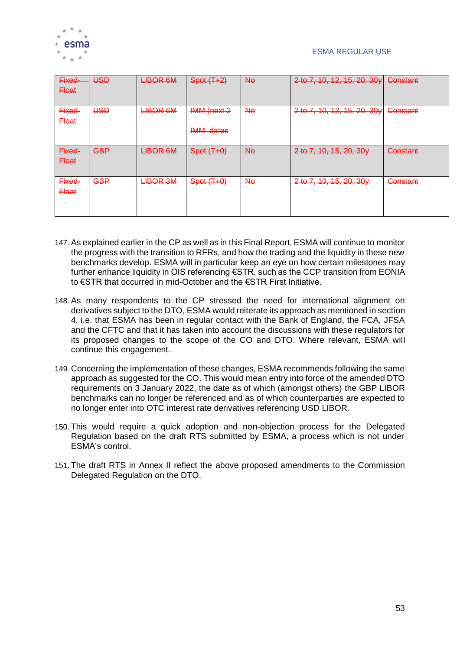

| Fixed-<br><b>Float</b> | USD        | <b>LIBOR 6M</b> | $Spot (T+2)$                    | Ηe | 2 to 7, 10, 12, 15, 20, 30y | Constant |
|------------------------|------------|-----------------|---------------------------------|----|-----------------------------|----------|
| Fixed-<br><b>Float</b> | USD        | <b>LIBOR 6M</b> | IMM (next 2<br><b>IMM dates</b> | Nθ | 2 to 7, 10, 12, 15, 20, 30y | Constant |
| Fixed-<br><b>Float</b> | <b>GBP</b> | <b>LIBOR 6M</b> | $Spot(T+0)$                     | Ηe | 2 to 7, 10, 15, 20, 30y     | Constant |
| Fixed-<br><b>Float</b> | <b>GBP</b> | <b>LIBOR 3M</b> | $Spot(T+0)$                     | Nθ | 2 to 7, 10, 15, 20, 30y     | Constant |

- 147. As explained earlier in the CP as well as in this Final Report, ESMA will continue to monitor the progress with the transition to RFRs, and how the trading and the liquidity in these new benchmarks develop. ESMA will in particular keep an eye on how certain milestones may further enhance liquidity in OIS referencing €STR, such as the CCP transition from EONIA to €STR that occurred in mid-October and the €STR First Initiative.
- 148. As many respondents to the CP stressed the need for international alignment on derivatives subject to the DTO, ESMA would reiterate its approach as mentioned in section 4, i.e. that ESMA has been in regular contact with the Bank of England, the FCA, JFSA and the CFTC and that it has taken into account the discussions with these regulators for its proposed changes to the scope of the CO and DTO. Where relevant, ESMA will continue this engagement.
- 149. Concerning the implementation of these changes, ESMA recommends following the same approach as suggested for the CO. This would mean entry into force of the amended DTO requirements on 3 January 2022, the date as of which (amongst others) the GBP LIBOR benchmarks can no longer be referenced and as of which counterparties are expected to no longer enter into OTC interest rate derivatives referencing USD LIBOR.
- 150. This would require a quick adoption and non-objection process for the Delegated Regulation based on the draft RTS submitted by ESMA, a process which is not under ESMA's control.
- 151. The draft RTS in Annex II reflect the above proposed amendments to the Commission Delegated Regulation on the DTO.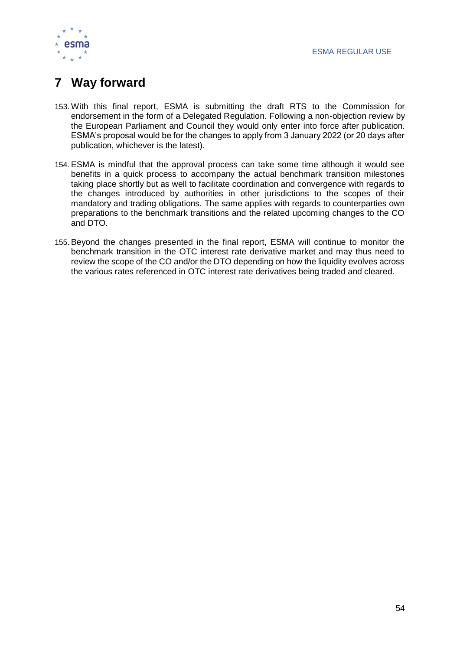

# <span id="page-54-0"></span>**7 Way forward**

- 153. With this final report, ESMA is submitting the draft RTS to the Commission for endorsement in the form of a Delegated Regulation. Following a non-objection review by the European Parliament and Council they would only enter into force after publication. ESMA's proposal would be for the changes to apply from 3 January 2022 (or 20 days after publication, whichever is the latest).
- 154. ESMA is mindful that the approval process can take some time although it would see benefits in a quick process to accompany the actual benchmark transition milestones taking place shortly but as well to facilitate coordination and convergence with regards to the changes introduced by authorities in other jurisdictions to the scopes of their mandatory and trading obligations. The same applies with regards to counterparties own preparations to the benchmark transitions and the related upcoming changes to the CO and DTO.
- 155. Beyond the changes presented in the final report, ESMA will continue to monitor the benchmark transition in the OTC interest rate derivative market and may thus need to review the scope of the CO and/or the DTO depending on how the liquidity evolves across the various rates referenced in OTC interest rate derivatives being traded and cleared.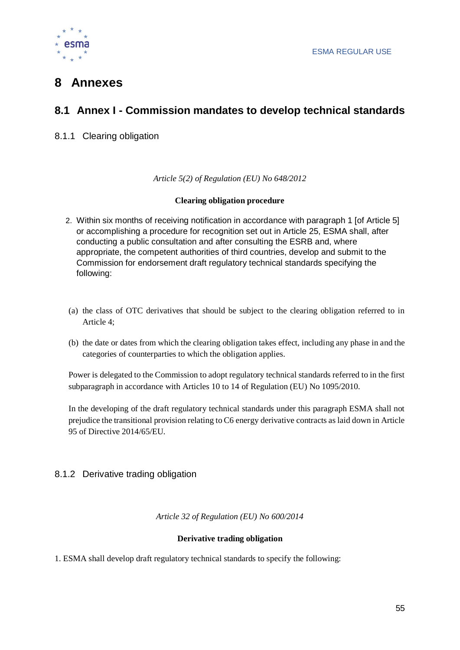

# <span id="page-55-0"></span>**8 Annexes**

### <span id="page-55-1"></span>**8.1 Annex I - Commission mandates to develop technical standards**

8.1.1 Clearing obligation

*Article 5(2) of Regulation (EU) No 648/2012*

### **Clearing obligation procedure**

- 2. Within six months of receiving notification in accordance with paragraph 1 [of Article 5] or accomplishing a procedure for recognition set out in Article 25, ESMA shall, after conducting a public consultation and after consulting the ESRB and, where appropriate, the competent authorities of third countries, develop and submit to the Commission for endorsement draft regulatory technical standards specifying the following:
- (a) the class of OTC derivatives that should be subject to the clearing obligation referred to in Article 4;
- (b) the date or dates from which the clearing obligation takes effect, including any phase in and the categories of counterparties to which the obligation applies.

Power is delegated to the Commission to adopt regulatory technical standards referred to in the first subparagraph in accordance with Articles 10 to 14 of Regulation (EU) No 1095/2010.

In the developing of the draft regulatory technical standards under this paragraph ESMA shall not prejudice the transitional provision relating to C6 energy derivative contracts as laid down in Article 95 of Directive 2014/65/EU.

### 8.1.2 Derivative trading obligation

*Article 32 of Regulation (EU) No 600/2014*

### **Derivative trading obligation**

1. ESMA shall develop draft regulatory technical standards to specify the following: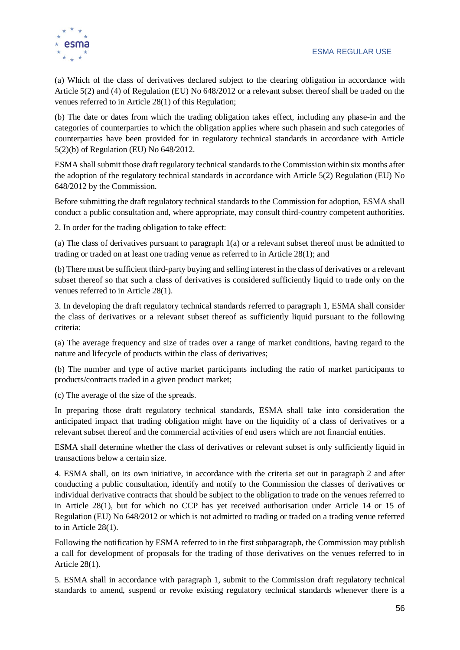

(a) Which of the class of derivatives declared subject to the clearing obligation in accordance with Article 5(2) and (4) of Regulation (EU) No 648/2012 or a relevant subset thereof shall be traded on the venues referred to in Article 28(1) of this Regulation;

(b) The date or dates from which the trading obligation takes effect, including any phase-in and the categories of counterparties to which the obligation applies where such phasein and such categories of counterparties have been provided for in regulatory technical standards in accordance with Article 5(2)(b) of Regulation (EU) No 648/2012.

ESMA shall submit those draft regulatory technical standards to the Commission within six months after the adoption of the regulatory technical standards in accordance with Article 5(2) Regulation (EU) No 648/2012 by the Commission.

Before submitting the draft regulatory technical standards to the Commission for adoption, ESMA shall conduct a public consultation and, where appropriate, may consult third-country competent authorities.

2. In order for the trading obligation to take effect:

(a) The class of derivatives pursuant to paragraph 1(a) or a relevant subset thereof must be admitted to trading or traded on at least one trading venue as referred to in Article 28(1); and

(b) There must be sufficient third-party buying and selling interest in the class of derivatives or a relevant subset thereof so that such a class of derivatives is considered sufficiently liquid to trade only on the venues referred to in Article 28(1).

3. In developing the draft regulatory technical standards referred to paragraph 1, ESMA shall consider the class of derivatives or a relevant subset thereof as sufficiently liquid pursuant to the following criteria:

(a) The average frequency and size of trades over a range of market conditions, having regard to the nature and lifecycle of products within the class of derivatives;

(b) The number and type of active market participants including the ratio of market participants to products/contracts traded in a given product market;

(c) The average of the size of the spreads.

In preparing those draft regulatory technical standards, ESMA shall take into consideration the anticipated impact that trading obligation might have on the liquidity of a class of derivatives or a relevant subset thereof and the commercial activities of end users which are not financial entities.

ESMA shall determine whether the class of derivatives or relevant subset is only sufficiently liquid in transactions below a certain size.

4. ESMA shall, on its own initiative, in accordance with the criteria set out in paragraph 2 and after conducting a public consultation, identify and notify to the Commission the classes of derivatives or individual derivative contracts that should be subject to the obligation to trade on the venues referred to in Article 28(1), but for which no CCP has yet received authorisation under Article 14 or 15 of Regulation (EU) No 648/2012 or which is not admitted to trading or traded on a trading venue referred to in Article 28(1).

Following the notification by ESMA referred to in the first subparagraph, the Commission may publish a call for development of proposals for the trading of those derivatives on the venues referred to in Article 28(1).

5. ESMA shall in accordance with paragraph 1, submit to the Commission draft regulatory technical standards to amend, suspend or revoke existing regulatory technical standards whenever there is a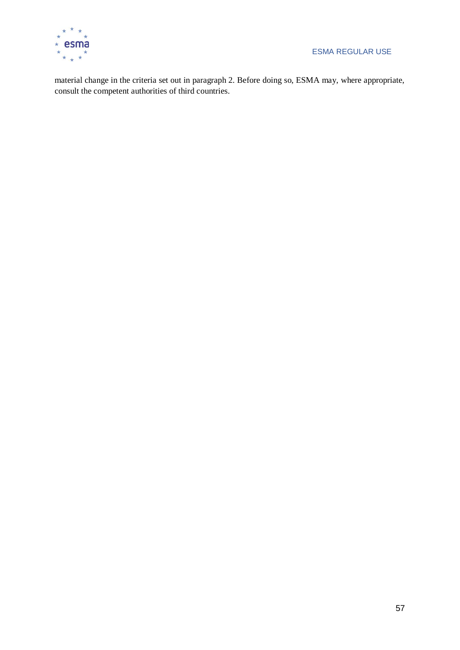

material change in the criteria set out in paragraph 2. Before doing so, ESMA may, where appropriate, consult the competent authorities of third countries.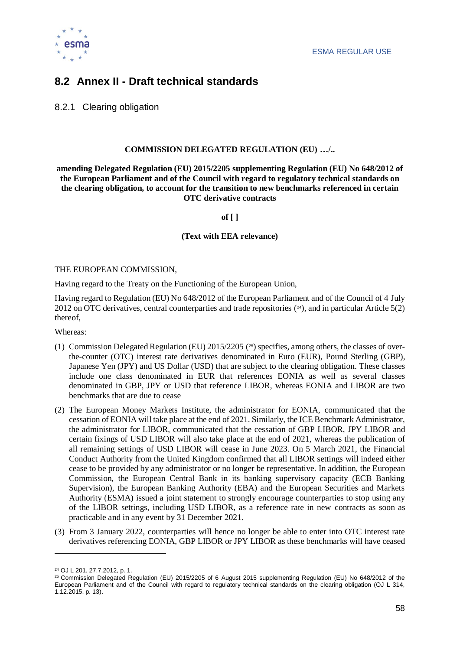

### <span id="page-58-0"></span>**8.2 Annex II - Draft technical standards**

8.2.1 Clearing obligation

#### **COMMISSION DELEGATED REGULATION (EU) …/..**

**amending Delegated Regulation (EU) 2015/2205 supplementing Regulation (EU) No 648/2012 of the European Parliament and of the Council with regard to regulatory technical standards on the clearing obligation, to account for the transition to new benchmarks referenced in certain OTC derivative contracts**

**of [ ]**

#### **(Text with EEA relevance)**

#### THE EUROPEAN COMMISSION,

Having regard to the Treaty on the Functioning of the European Union,

Having regard to Regulation (EU) No 648/2012 of the European Parliament and of the Council of 4 July 2012 on OTC derivatives, central counterparties and trade repositories ( <sup>24</sup>), and in particular Article 5(2) thereof,

Whereas:

- (1) Commission Delegated Regulation (EU) 2015/2205 ( <sup>25</sup>) specifies, among others, the classes of overthe-counter (OTC) interest rate derivatives denominated in Euro (EUR), Pound Sterling (GBP), Japanese Yen (JPY) and US Dollar (USD) that are subject to the clearing obligation. These classes include one class denominated in EUR that references EONIA as well as several classes denominated in GBP, JPY or USD that reference LIBOR, whereas EONIA and LIBOR are two benchmarks that are due to cease
- (2) The European Money Markets Institute, the administrator for EONIA, communicated that the cessation of EONIA will take place at the end of 2021. Similarly, the ICE Benchmark Administrator, the administrator for LIBOR, communicated that the cessation of GBP LIBOR, JPY LIBOR and certain fixings of USD LIBOR will also take place at the end of 2021, whereas the publication of all remaining settings of USD LIBOR will cease in June 2023. On 5 March 2021, the Financial Conduct Authority from the United Kingdom confirmed that all LIBOR settings will indeed either cease to be provided by any administrator or no longer be representative. In addition, the European Commission, the European Central Bank in its banking supervisory capacity (ECB Banking Supervision), the European Banking Authority (EBA) and the European Securities and Markets Authority (ESMA) issued a joint statement to strongly encourage counterparties to stop using any of the LIBOR settings, including USD LIBOR, as a reference rate in new contracts as soon as practicable and in any event by 31 December 2021.
- (3) From 3 January 2022, counterparties will hence no longer be able to enter into OTC interest rate derivatives referencing EONIA, GBP LIBOR or JPY LIBOR as these benchmarks will have ceased

 $\overline{a}$ 

<sup>24</sup> OJ L 201, 27.7.2012, p. 1.

<sup>25</sup> Commission Delegated Regulation (EU) 2015/2205 of 6 August 2015 supplementing Regulation (EU) No 648/2012 of the European Parliament and of the Council with regard to regulatory technical standards on the clearing obligation (OJ L 314, 1.12.2015, p. 13).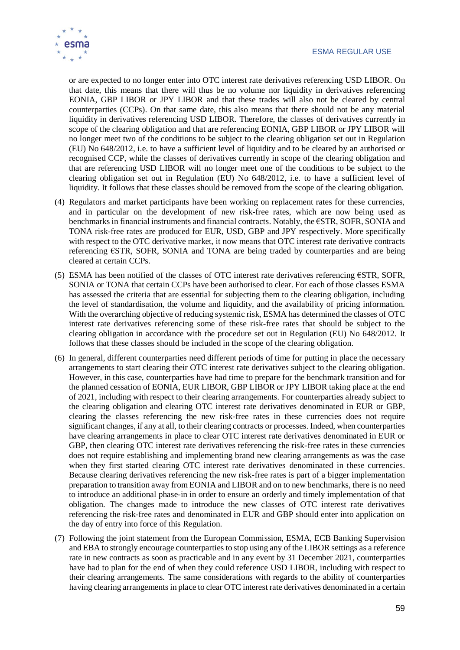

or are expected to no longer enter into OTC interest rate derivatives referencing USD LIBOR. On that date, this means that there will thus be no volume nor liquidity in derivatives referencing EONIA, GBP LIBOR or JPY LIBOR and that these trades will also not be cleared by central counterparties (CCPs). On that same date, this also means that there should not be any material liquidity in derivatives referencing USD LIBOR. Therefore, the classes of derivatives currently in scope of the clearing obligation and that are referencing EONIA, GBP LIBOR or JPY LIBOR will no longer meet two of the conditions to be subject to the clearing obligation set out in Regulation (EU) No 648/2012, i.e. to have a sufficient level of liquidity and to be cleared by an authorised or recognised CCP, while the classes of derivatives currently in scope of the clearing obligation and that are referencing USD LIBOR will no longer meet one of the conditions to be subject to the clearing obligation set out in Regulation (EU) No 648/2012, i.e. to have a sufficient level of liquidity. It follows that these classes should be removed from the scope of the clearing obligation.

- (4) Regulators and market participants have been working on replacement rates for these currencies, and in particular on the development of new risk-free rates, which are now being used as benchmarks in financial instruments and financial contracts. Notably, the €STR, SOFR, SONIA and TONA risk-free rates are produced for EUR, USD, GBP and JPY respectively. More specifically with respect to the OTC derivative market, it now means that OTC interest rate derivative contracts referencing €STR, SOFR, SONIA and TONA are being traded by counterparties and are being cleared at certain CCPs.
- (5) ESMA has been notified of the classes of OTC interest rate derivatives referencing €STR, SOFR, SONIA or TONA that certain CCPs have been authorised to clear. For each of those classes ESMA has assessed the criteria that are essential for subjecting them to the clearing obligation, including the level of standardisation, the volume and liquidity, and the availability of pricing information. With the overarching objective of reducing systemic risk, ESMA has determined the classes of OTC interest rate derivatives referencing some of these risk-free rates that should be subject to the clearing obligation in accordance with the procedure set out in Regulation (EU) No 648/2012. It follows that these classes should be included in the scope of the clearing obligation.
- (6) In general, different counterparties need different periods of time for putting in place the necessary arrangements to start clearing their OTC interest rate derivatives subject to the clearing obligation. However, in this case, counterparties have had time to prepare for the benchmark transition and for the planned cessation of EONIA, EUR LIBOR, GBP LIBOR or JPY LIBOR taking place at the end of 2021, including with respect to their clearing arrangements. For counterparties already subject to the clearing obligation and clearing OTC interest rate derivatives denominated in EUR or GBP, clearing the classes referencing the new risk-free rates in these currencies does not require significant changes, if any at all, to their clearing contracts or processes. Indeed, when counterparties have clearing arrangements in place to clear OTC interest rate derivatives denominated in EUR or GBP, then clearing OTC interest rate derivatives referencing the risk-free rates in these currencies does not require establishing and implementing brand new clearing arrangements as was the case when they first started clearing OTC interest rate derivatives denominated in these currencies. Because clearing derivatives referencing the new risk-free rates is part of a bigger implementation preparation to transition away from EONIA and LIBOR and on to new benchmarks, there is no need to introduce an additional phase-in in order to ensure an orderly and timely implementation of that obligation. The changes made to introduce the new classes of OTC interest rate derivatives referencing the risk-free rates and denominated in EUR and GBP should enter into application on the day of entry into force of this Regulation.
- (7) Following the joint statement from the European Commission, ESMA, ECB Banking Supervision and EBA to strongly encourage counterparties to stop using any of the LIBOR settings as a reference rate in new contracts as soon as practicable and in any event by 31 December 2021, counterparties have had to plan for the end of when they could reference USD LIBOR, including with respect to their clearing arrangements. The same considerations with regards to the ability of counterparties having clearing arrangements in place to clear OTC interest rate derivatives denominated in a certain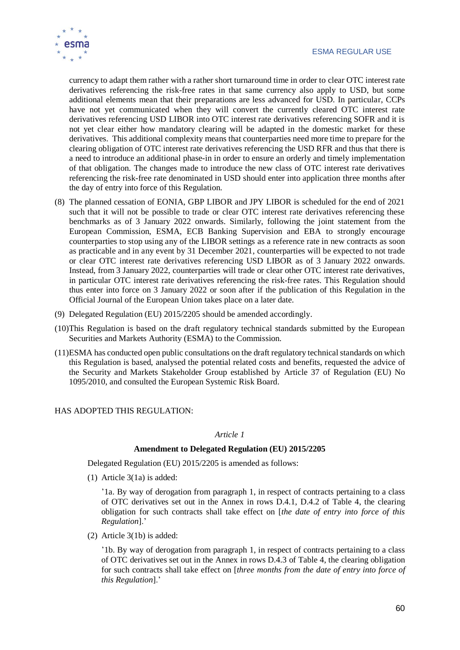

currency to adapt them rather with a rather short turnaround time in order to clear OTC interest rate derivatives referencing the risk-free rates in that same currency also apply to USD, but some additional elements mean that their preparations are less advanced for USD. In particular, CCPs have not yet communicated when they will convert the currently cleared OTC interest rate derivatives referencing USD LIBOR into OTC interest rate derivatives referencing SOFR and it is not yet clear either how mandatory clearing will be adapted in the domestic market for these derivatives. This additional complexity means that counterparties need more time to prepare for the clearing obligation of OTC interest rate derivatives referencing the USD RFR and thus that there is a need to introduce an additional phase-in in order to ensure an orderly and timely implementation of that obligation. The changes made to introduce the new class of OTC interest rate derivatives referencing the risk-free rate denominated in USD should enter into application three months after the day of entry into force of this Regulation.

- (8) The planned cessation of EONIA, GBP LIBOR and JPY LIBOR is scheduled for the end of 2021 such that it will not be possible to trade or clear OTC interest rate derivatives referencing these benchmarks as of 3 January 2022 onwards. Similarly, following the joint statement from the European Commission, ESMA, ECB Banking Supervision and EBA to strongly encourage counterparties to stop using any of the LIBOR settings as a reference rate in new contracts as soon as practicable and in any event by 31 December 2021, counterparties will be expected to not trade or clear OTC interest rate derivatives referencing USD LIBOR as of 3 January 2022 onwards. Instead, from 3 January 2022, counterparties will trade or clear other OTC interest rate derivatives, in particular OTC interest rate derivatives referencing the risk-free rates. This Regulation should thus enter into force on 3 January 2022 or soon after if the publication of this Regulation in the Official Journal of the European Union takes place on a later date.
- (9) Delegated Regulation (EU) 2015/2205 should be amended accordingly.
- (10)This Regulation is based on the draft regulatory technical standards submitted by the European Securities and Markets Authority (ESMA) to the Commission.
- (11)ESMA has conducted open public consultations on the draft regulatory technical standards on which this Regulation is based, analysed the potential related costs and benefits, requested the advice of the Security and Markets Stakeholder Group established by Article 37 of Regulation (EU) No 1095/2010, and consulted the European Systemic Risk Board.

#### HAS ADOPTED THIS REGULATION:

#### *Article 1*

#### **Amendment to Delegated Regulation (EU) 2015/2205**

Delegated Regulation (EU) 2015/2205 is amended as follows:

(1) Article 3(1a) is added:

'1a. By way of derogation from paragraph 1, in respect of contracts pertaining to a class of OTC derivatives set out in the Annex in rows D.4.1, D.4.2 of Table 4, the clearing obligation for such contracts shall take effect on [*the date of entry into force of this Regulation*].'

(2) Article 3(1b) is added:

'1b. By way of derogation from paragraph 1, in respect of contracts pertaining to a class of OTC derivatives set out in the Annex in rows D.4.3 of Table 4, the clearing obligation for such contracts shall take effect on [*three months from the date of entry into force of this Regulation*].'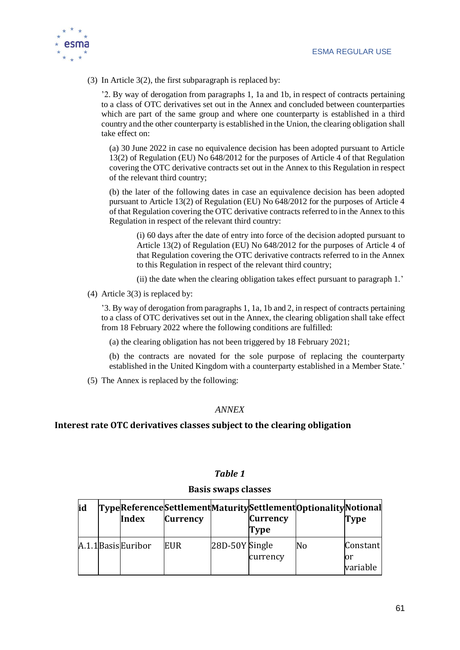

(3) In Article 3(2), the first subparagraph is replaced by:

'2. By way of derogation from paragraphs 1, 1a and 1b, in respect of contracts pertaining to a class of OTC derivatives set out in the Annex and concluded between counterparties which are part of the same group and where one counterparty is established in a third country and the other counterparty is established in the Union, the clearing obligation shall take effect on:

(a) 30 June 2022 in case no equivalence decision has been adopted pursuant to Article 13(2) of Regulation (EU) No 648/2012 for the purposes of Article 4 of that Regulation covering the OTC derivative contracts set out in the Annex to this Regulation in respect of the relevant third country;

(b) the later of the following dates in case an equivalence decision has been adopted pursuant to Article 13(2) of Regulation (EU) No 648/2012 for the purposes of Article 4 of that Regulation covering the OTC derivative contracts referred to in the Annex to this Regulation in respect of the relevant third country:

(i) 60 days after the date of entry into force of the decision adopted pursuant to Article 13(2) of Regulation (EU) No 648/2012 for the purposes of Article 4 of that Regulation covering the OTC derivative contracts referred to in the Annex to this Regulation in respect of the relevant third country;

(ii) the date when the clearing obligation takes effect pursuant to paragraph 1.'

(4) Article 3(3) is replaced by:

'3. By way of derogation from paragraphs 1, 1a, 1b and 2, in respect of contracts pertaining to a class of OTC derivatives set out in the Annex, the clearing obligation shall take effect from 18 February 2022 where the following conditions are fulfilled:

(a) the clearing obligation has not been triggered by 18 February 2021;

(b) the contracts are novated for the sole purpose of replacing the counterparty established in the United Kingdom with a counterparty established in a Member State.'

(5) The Annex is replaced by the following:

### *ANNEX*

### **Interest rate OTC derivatives classes subject to the clearing obligation**

### *Table 1*

### **Basis swaps classes**

| <b>lid</b> | <b>Index</b>        | <b>Currency</b> |                | <b>Currency</b><br>Type | TypeReferenceSettlementMaturitySettlementOptionalityNotional | <b>Type</b>                |
|------------|---------------------|-----------------|----------------|-------------------------|--------------------------------------------------------------|----------------------------|
|            | A.1.1 Basis Euribor | <b>EUR</b>      | 28D-50Y Single | currency                | N <sub>0</sub>                                               | Constant<br>Юr<br>variable |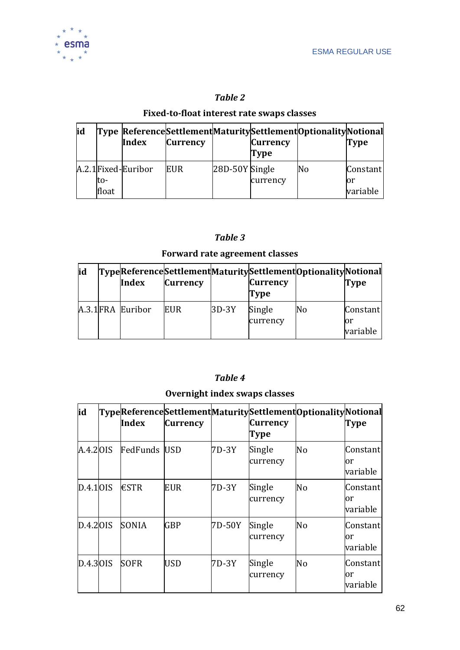

### *Table 2*

### **Fixed-to-float interest rate swaps classes**

| id |              | Index               | <b>Currency</b> |                | <b>Currency</b><br>Type | Type ReferenceSettlementMaturitySettlementOptionalityNotional | Type            |
|----|--------------|---------------------|-----------------|----------------|-------------------------|---------------------------------------------------------------|-----------------|
|    |              | A.2.1 Fixed-Euribor | <b>EUR</b>      | 28D-50Y Single |                         | lΝo                                                           | Constant        |
|    | to-<br>float |                     |                 |                | currency                |                                                               | lor<br>variable |

### *Table 3*

### **Forward rate agreement classes**

| <b>id</b> | Index             | <b>Currency</b> |       | <b>Currency</b><br><b>Type</b> | Type Reference Settlement Maturity Settlement Optionality Notional | Type                        |
|-----------|-------------------|-----------------|-------|--------------------------------|--------------------------------------------------------------------|-----------------------------|
|           | A.3.1 FRA Euribor | <b>EUR</b>      | 3D-3Y | Single<br>currency             | lNo                                                                | Constant<br>lor<br>variable |

### *Table 4*

### **Overnight index swaps classes**

| id       | Index               | <b>Currency</b> |        | <b>Currency</b><br><b>Type</b> | TypeReferenceSettlementMaturitySettlementOptionalityNotional | <b>Type</b>                 |
|----------|---------------------|-----------------|--------|--------------------------------|--------------------------------------------------------------|-----------------------------|
| A.4.2OIS | <b>FedFunds USD</b> |                 | 7D-3Y  | Single<br>currency             | No                                                           | Constant<br>lor<br>variable |
| D.4.10IS | $\epsilon$ STR      | <b>EUR</b>      | 7D-3Y  | Single<br>currency             | N <sub>o</sub>                                               | Constant<br>or<br>variable  |
| D.4.20IS | <b>SONIA</b>        | <b>GBP</b>      | 7D-50Y | Single<br>currency             | No                                                           | Constant<br>or<br>variable  |
| D.4.30IS | <b>SOFR</b>         | <b>USD</b>      | 7D-3Y  | Single<br>currency             | No                                                           | Constant<br>or<br>variable  |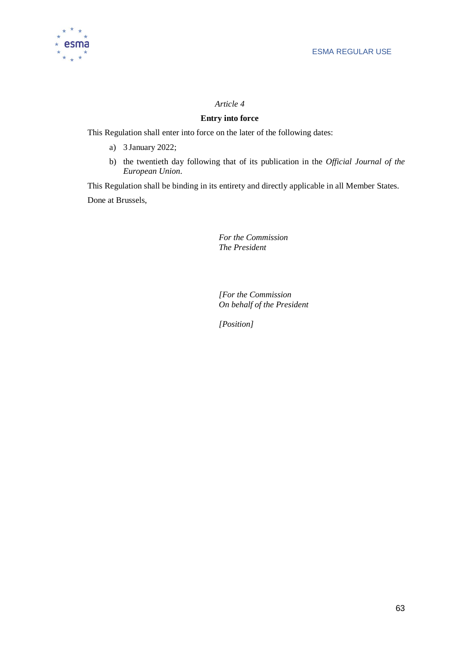

### *Article 4*

### **Entry into force**

This Regulation shall enter into force on the later of the following dates:

- a) 3 January 2022;
- b) the twentieth day following that of its publication in the *Official Journal of the European Union*.

This Regulation shall be binding in its entirety and directly applicable in all Member States. Done at Brussels,

> *For the Commission The President*

*[For the Commission On behalf of the President*

*[Position]*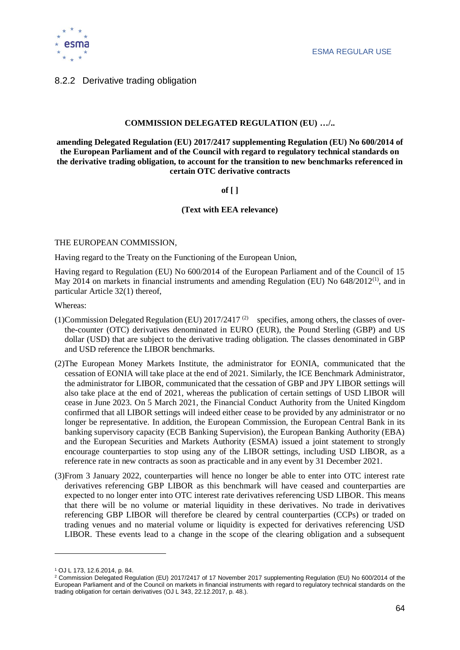

### 8.2.2 Derivative trading obligation

#### **COMMISSION DELEGATED REGULATION (EU) …/..**

**amending Delegated Regulation (EU) 2017/2417 supplementing Regulation (EU) No 600/2014 of the European Parliament and of the Council with regard to regulatory technical standards on the derivative trading obligation, to account for the transition to new benchmarks referenced in certain OTC derivative contracts**

#### **of [ ]**

#### **(Text with EEA relevance)**

#### THE EUROPEAN COMMISSION,

Having regard to the Treaty on the Functioning of the European Union,

Having regard to Regulation (EU) No 600/2014 of the European Parliament and of the Council of 15 May 2014 on markets in financial instruments and amending Regulation (EU) No  $648/2012^{(1)}$ , and in particular Article 32(1) thereof,

Whereas:

- (1)Commission Delegated Regulation (EU)  $2017/2417$ <sup>(2)</sup> specifies, among others, the classes of overthe-counter (OTC) derivatives denominated in EURO (EUR), the Pound Sterling (GBP) and US dollar (USD) that are subject to the derivative trading obligation. The classes denominated in GBP and USD reference the LIBOR benchmarks.
- (2)The European Money Markets Institute, the administrator for EONIA, communicated that the cessation of EONIA will take place at the end of 2021. Similarly, the ICE Benchmark Administrator, the administrator for LIBOR, communicated that the cessation of GBP and JPY LIBOR settings will also take place at the end of 2021, whereas the publication of certain settings of USD LIBOR will cease in June 2023. On 5 March 2021, the Financial Conduct Authority from the United Kingdom confirmed that all LIBOR settings will indeed either cease to be provided by any administrator or no longer be representative. In addition, the European Commission, the European Central Bank in its banking supervisory capacity (ECB Banking Supervision), the European Banking Authority (EBA) and the European Securities and Markets Authority (ESMA) issued a joint statement to strongly encourage counterparties to stop using any of the LIBOR settings, including USD LIBOR, as a reference rate in new contracts as soon as practicable and in any event by 31 December 2021.
- (3)From 3 January 2022, counterparties will hence no longer be able to enter into OTC interest rate derivatives referencing GBP LIBOR as this benchmark will have ceased and counterparties are expected to no longer enter into OTC interest rate derivatives referencing USD LIBOR. This means that there will be no volume or material liquidity in these derivatives. No trade in derivatives referencing GBP LIBOR will therefore be cleared by central counterparties (CCPs) or traded on trading venues and no material volume or liquidity is expected for derivatives referencing USD LIBOR. These events lead to a change in the scope of the clearing obligation and a subsequent

 $\overline{a}$ 

<sup>1</sup> OJ L 173, 12.6.2014, p. 84.

<sup>2</sup> Commission Delegated Regulation (EU) 2017/2417 of 17 November 2017 supplementing Regulation (EU) No 600/2014 of the European Parliament and of the Council on markets in financial instruments with regard to regulatory technical standards on the trading obligation for certain derivatives (OJ L 343, 22.12.2017, p. 48.).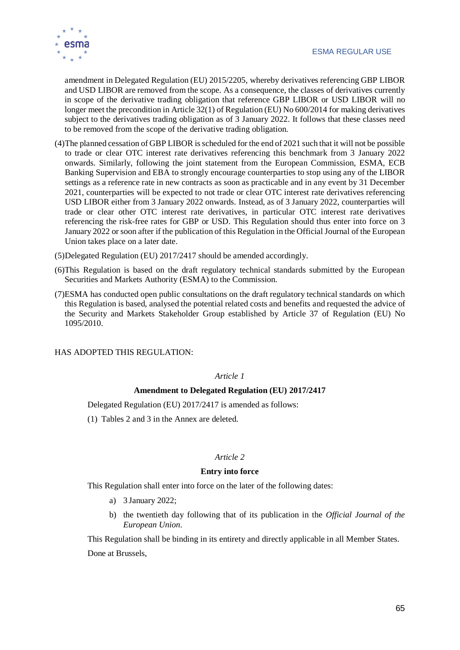

amendment in Delegated Regulation (EU) 2015/2205, whereby derivatives referencing GBP LIBOR and USD LIBOR are removed from the scope. As a consequence, the classes of derivatives currently in scope of the derivative trading obligation that reference GBP LIBOR or USD LIBOR will no longer meet the precondition in Article 32(1) of Regulation (EU) No 600/2014 for making derivatives subject to the derivatives trading obligation as of 3 January 2022. It follows that these classes need to be removed from the scope of the derivative trading obligation.

- (4)The planned cessation of GBP LIBOR is scheduled for the end of 2021 such that it will not be possible to trade or clear OTC interest rate derivatives referencing this benchmark from 3 January 2022 onwards. Similarly, following the joint statement from the European Commission, ESMA, ECB Banking Supervision and EBA to strongly encourage counterparties to stop using any of the LIBOR settings as a reference rate in new contracts as soon as practicable and in any event by 31 December 2021, counterparties will be expected to not trade or clear OTC interest rate derivatives referencing USD LIBOR either from 3 January 2022 onwards. Instead, as of 3 January 2022, counterparties will trade or clear other OTC interest rate derivatives, in particular OTC interest rate derivatives referencing the risk-free rates for GBP or USD. This Regulation should thus enter into force on 3 January 2022 or soon after if the publication of this Regulation in the Official Journal of the European Union takes place on a later date.
- (5)Delegated Regulation (EU) 2017/2417 should be amended accordingly.
- (6)This Regulation is based on the draft regulatory technical standards submitted by the European Securities and Markets Authority (ESMA) to the Commission.
- (7)ESMA has conducted open public consultations on the draft regulatory technical standards on which this Regulation is based, analysed the potential related costs and benefits and requested the advice of the Security and Markets Stakeholder Group established by Article 37 of Regulation (EU) No 1095/2010.

HAS ADOPTED THIS REGULATION:

#### *Article 1*

### **Amendment to Delegated Regulation (EU) 2017/2417**

Delegated Regulation (EU) 2017/2417 is amended as follows:

(1) Tables 2 and 3 in the Annex are deleted.

### *Article 2*

#### **Entry into force**

This Regulation shall enter into force on the later of the following dates:

- a) 3 January 2022;
- b) the twentieth day following that of its publication in the *Official Journal of the European Union*.

This Regulation shall be binding in its entirety and directly applicable in all Member States. Done at Brussels,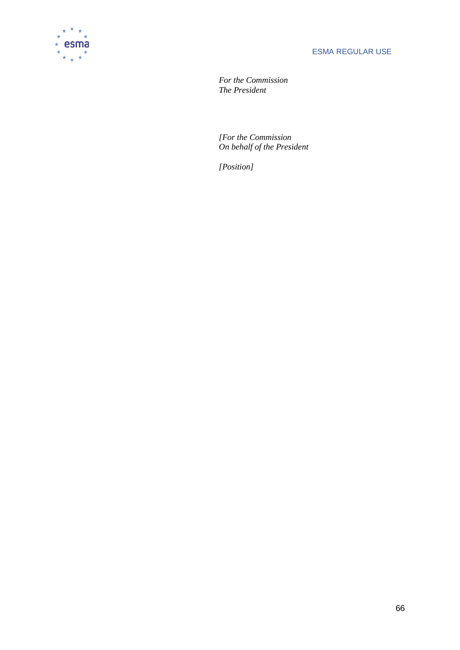

*For the Commission The President*

*[For the Commission On behalf of the President*

*[Position]*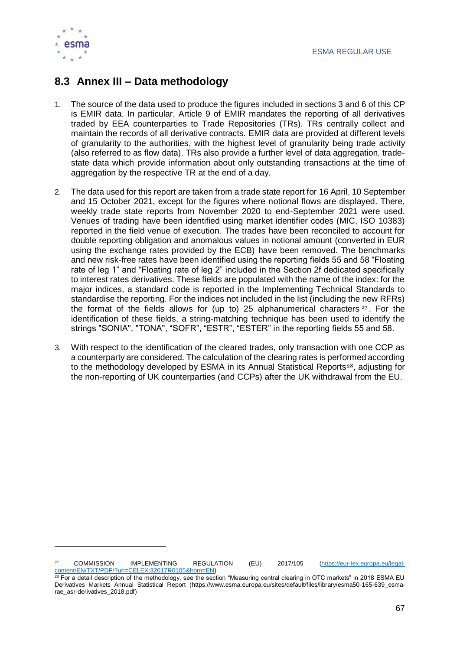

 $\overline{a}$ 

### <span id="page-67-0"></span>**8.3 Annex III – Data methodology**

- 1. The source of the data used to produce the figures included in sections 3 and 6 of this CP is EMIR data. In particular, Article 9 of EMIR mandates the reporting of all derivatives traded by EEA counterparties to Trade Repositories (TRs). TRs centrally collect and maintain the records of all derivative contracts. EMIR data are provided at different levels of granularity to the authorities, with the highest level of granularity being trade activity (also referred to as flow data). TRs also provide a further level of data aggregation, tradestate data which provide information about only outstanding transactions at the time of aggregation by the respective TR at the end of a day.
- 2. The data used for this report are taken from a trade state report for 16 April, 10 September and 15 October 2021, except for the figures where notional flows are displayed. There, weekly trade state reports from November 2020 to end-September 2021 were used. Venues of trading have been identified using market identifier codes (MIC, ISO 10383) reported in the field venue of execution. The trades have been reconciled to account for double reporting obligation and anomalous values in notional amount (converted in EUR using the exchange rates provided by the ECB) have been removed. The benchmarks and new risk-free rates have been identified using the reporting fields 55 and 58 "Floating rate of leg 1" and "Floating rate of leg 2" included in the Section 2f dedicated specifically to interest rates derivatives. These fields are populated with the name of the index: for the major indices, a standard code is reported in the Implementing Technical Standards to standardise the reporting. For the indices not included in the list (including the new RFRs) the format of the fields allows for (up to) 25 alphanumerical characters  $27$ . For the identification of these fields, a string-matching technique has been used to identify the strings "SONIA", "TONA", "SOFR", "ESTR", "ESTER" in the reporting fields 55 and 58.
- 3. With respect to the identification of the cleared trades, only transaction with one CCP as a counterparty are considered. The calculation of the clearing rates is performed according to the methodology developed by ESMA in its Annual Statistical Reports<sup>28</sup>, adjusting for the non-reporting of UK counterparties (and CCPs) after the UK withdrawal from the EU.

<sup>27</sup> COMMISSION IMPLEMENTING REGULATION (EU) 2017/105 [\(https://eur-lex.europa.eu/legal](https://eur-lex.europa.eu/legal-content/EN/TXT/PDF/?uri=CELEX:32017R0105&from=EN)[content/EN/TXT/PDF/?uri=CELEX:32017R0105&from=EN\)](https://eur-lex.europa.eu/legal-content/EN/TXT/PDF/?uri=CELEX:32017R0105&from=EN)

 $28$  For a detail description of the methodology, see the section "Measuring central clearing in OTC markets" in 2018 ESMA EU Derivatives Markets Annual Statistical Report (https://www.esma.europa.eu/sites/default/files/library/esma50-165-639\_esmarae\_asr-derivatives\_2018.pdf)